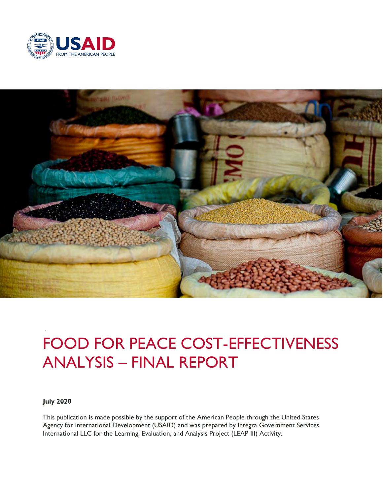



# FOOD FOR PEACE COST-EFFECTIVENESS ANALYSIS – FINAL REPORT

**July 2020**

This publication is made possible by the support of the American People through the United States Agency for International Development (USAID) and was prepared by Integra Government Services International LLC for the Learning, Evaluation, and Analysis Project (LEAP III) Activity.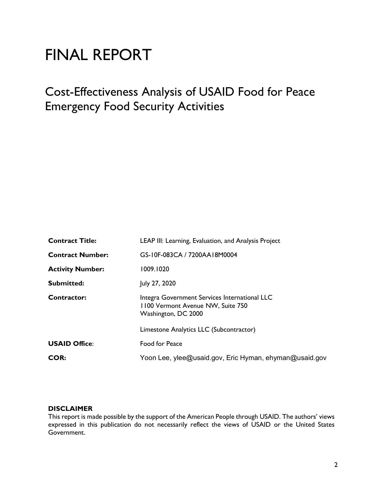# FINAL REPORT

# Cost-Effectiveness Analysis of USAID Food for Peace Emergency Food Security Activities

| <b>Contract Title:</b>  | LEAP III: Learning, Evaluation, and Analysis Project                                                      |  |  |
|-------------------------|-----------------------------------------------------------------------------------------------------------|--|--|
| <b>Contract Number:</b> | GS-10F-083CA / 7200AA18M0004                                                                              |  |  |
| <b>Activity Number:</b> | 1009.1020                                                                                                 |  |  |
| Submitted:              | July 27, 2020                                                                                             |  |  |
| Contractor:             | Integra Government Services International LLC<br>1100 Vermont Avenue NW, Suite 750<br>Washington, DC 2000 |  |  |
|                         | Limestone Analytics LLC (Subcontractor)                                                                   |  |  |
| <b>USAID Office:</b>    | Food for Peace                                                                                            |  |  |
| <b>COR:</b>             | Yoon Lee, ylee@usaid.gov, Eric Hyman, ehyman@usaid.gov                                                    |  |  |

#### **DISCLAIMER**

This report is made possible by the support of the American People through USAID. The authors' views expressed in this publication do not necessarily reflect the views of USAID or the United States Government.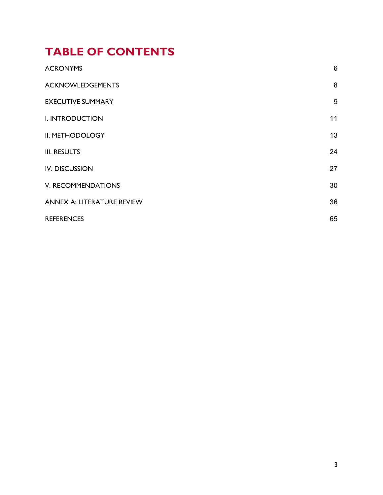# **TABLE OF CONTENTS**

| <b>ACRONYMS</b>            | $6\phantom{1}6$ |
|----------------------------|-----------------|
| <b>ACKNOWLEDGEMENTS</b>    | 8               |
| <b>EXECUTIVE SUMMARY</b>   | 9               |
| I. INTRODUCTION            | 11              |
| II. METHODOLOGY            | 13              |
| <b>III. RESULTS</b>        | 24              |
| <b>IV. DISCUSSION</b>      | 27              |
| V. RECOMMENDATIONS         | 30              |
| ANNEX A: LITERATURE REVIEW | 36              |
| <b>REFERENCES</b>          | 65              |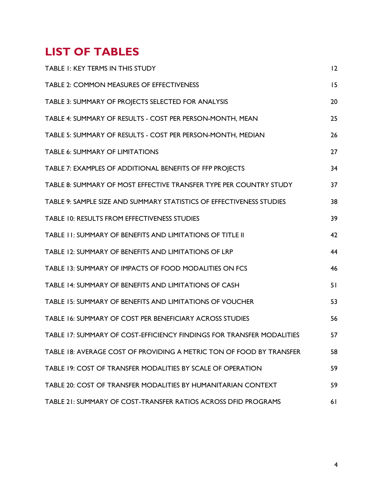# **LIST OF TABLES**

| TABLE I: KEY TERMS IN THIS STUDY                                      | 12 |
|-----------------------------------------------------------------------|----|
| TABLE 2: COMMON MEASURES OF EFFECTIVENESS                             | 15 |
| TABLE 3: SUMMARY OF PROJECTS SELECTED FOR ANALYSIS                    | 20 |
| TABLE 4: SUMMARY OF RESULTS - COST PER PERSON-MONTH, MEAN             | 25 |
| TABLE 5: SUMMARY OF RESULTS - COST PER PERSON-MONTH, MEDIAN           | 26 |
| <b>TABLE 6: SUMMARY OF LIMITATIONS</b>                                | 27 |
| TABLE 7: EXAMPLES OF ADDITIONAL BENEFITS OF FFP PROJECTS              | 34 |
| TABLE 8: SUMMARY OF MOST EFFECTIVE TRANSFER TYPE PER COUNTRY STUDY    | 37 |
| TABLE 9: SAMPLE SIZE AND SUMMARY STATISTICS OF EFFECTIVENESS STUDIES  | 38 |
| TABLE 10: RESULTS FROM EFFECTIVENESS STUDIES                          | 39 |
| TABLE II: SUMMARY OF BENEFITS AND LIMITATIONS OF TITLE II             | 42 |
| TABLE 12: SUMMARY OF BENEFITS AND LIMITATIONS OF LRP                  | 44 |
| TABLE 13: SUMMARY OF IMPACTS OF FOOD MODALITIES ON FCS                | 46 |
| TABLE 14: SUMMARY OF BENEFITS AND LIMITATIONS OF CASH                 | 51 |
| TABLE 15: SUMMARY OF BENEFITS AND LIMITATIONS OF VOUCHER              | 53 |
| TABLE 16: SUMMARY OF COST PER BENEFICIARY ACROSS STUDIES              | 56 |
| TABLE 17: SUMMARY OF COST-EFFICIENCY FINDINGS FOR TRANSFER MODALITIES | 57 |
| TABLE 18: AVERAGE COST OF PROVIDING A METRIC TON OF FOOD BY TRANSFER  | 58 |
| TABLE 19: COST OF TRANSFER MODALITIES BY SCALE OF OPERATION           | 59 |
| TABLE 20: COST OF TRANSFER MODALITIES BY HUMANITARIAN CONTEXT         | 59 |
| TABLE 21: SUMMARY OF COST-TRANSFER RATIOS ACROSS DFID PROGRAMS        | 61 |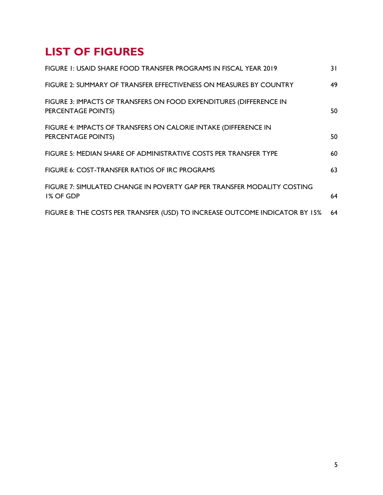# **LIST OF FIGURES**

| FIGURE 1: USAID SHARE FOOD TRANSFER PROGRAMS IN FISCAL YEAR 2019                         | 31 |
|------------------------------------------------------------------------------------------|----|
| FIGURE 2: SUMMARY OF TRANSFER EFFECTIVENESS ON MEASURES BY COUNTRY                       | 49 |
| FIGURE 3: IMPACTS OF TRANSFERS ON FOOD EXPENDITURES (DIFFERENCE IN<br>PERCENTAGE POINTS) | 50 |
| FIGURE 4: IMPACTS OF TRANSFERS ON CALORIE INTAKE (DIFFERENCE IN<br>PERCENTAGE POINTS)    | 50 |
| FIGURE 5: MEDIAN SHARE OF ADMINISTRATIVE COSTS PER TRANSFER TYPE                         | 60 |
| FIGURE 6: COST-TRANSFER RATIOS OF IRC PROGRAMS                                           | 63 |
| FIGURE 7: SIMULATED CHANGE IN POVERTY GAP PER TRANSFER MODALITY COSTING<br>1% OF GDP     | 64 |
| FIGURE 8: THE COSTS PER TRANSFER (USD) TO INCREASE OUTCOME INDICATOR BY 15%              | 64 |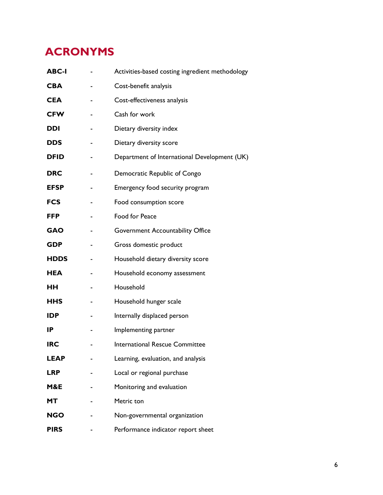# <span id="page-5-0"></span>**ACRONYMS**

| <b>ABC-I</b> | Activities-based costing ingredient methodology |
|--------------|-------------------------------------------------|
| <b>CBA</b>   | Cost-benefit analysis                           |
| <b>CEA</b>   | Cost-effectiveness analysis                     |
| <b>CFW</b>   | Cash for work                                   |
| <b>DDI</b>   | Dietary diversity index                         |
| <b>DDS</b>   | Dietary diversity score                         |
| <b>DFID</b>  | Department of International Development (UK)    |
| <b>DRC</b>   | Democratic Republic of Congo                    |
| <b>EFSP</b>  | Emergency food security program                 |
| <b>FCS</b>   | Food consumption score                          |
| <b>FFP</b>   | Food for Peace                                  |
| <b>GAO</b>   | Government Accountability Office                |
| <b>GDP</b>   | Gross domestic product                          |
| <b>HDDS</b>  | Household dietary diversity score               |
| <b>HEA</b>   | Household economy assessment                    |
| <b>HH</b>    | Household                                       |
| <b>HHS</b>   | Household hunger scale                          |
| <b>IDP</b>   | Internally displaced person                     |
| <b>IP</b>    | Implementing partner                            |
| <b>IRC</b>   | International Rescue Committee                  |
| <b>LEAP</b>  | Learning, evaluation, and analysis              |
| <b>LRP</b>   | Local or regional purchase                      |
| M&E          | Monitoring and evaluation                       |
| МT           | Metric ton                                      |
| <b>NGO</b>   | Non-governmental organization                   |
| <b>PIRS</b>  | Performance indicator report sheet              |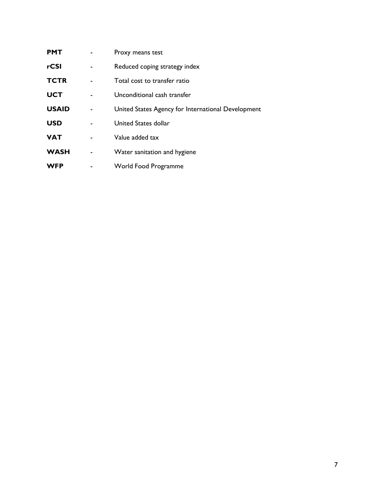| <b>PMT</b>   | Proxy means test                                   |
|--------------|----------------------------------------------------|
| rCSI         | Reduced coping strategy index                      |
| <b>TCTR</b>  | Total cost to transfer ratio                       |
| <b>UCT</b>   | Unconditional cash transfer                        |
| <b>USAID</b> | United States Agency for International Development |
| <b>USD</b>   | United States dollar                               |
| <b>VAT</b>   | Value added tax                                    |
| <b>WASH</b>  | Water sanitation and hygiene                       |
| <b>WFP</b>   | <b>World Food Programme</b>                        |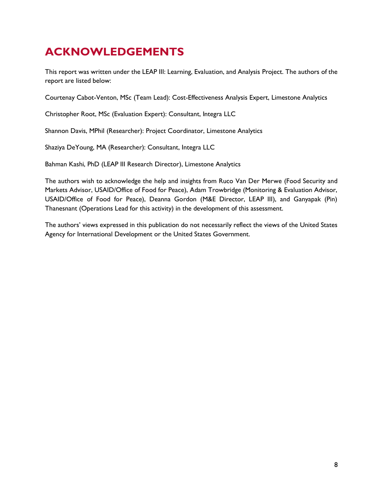# <span id="page-7-0"></span>**ACKNOWLEDGEMENTS**

This report was written under the LEAP III: Learning, Evaluation, and Analysis Project. The authors of the report are listed below:

Courtenay Cabot-Venton, MSc (Team Lead): Cost-Effectiveness Analysis Expert, Limestone Analytics

Christopher Root, MSc (Evaluation Expert): Consultant, Integra LLC

Shannon Davis, MPhil (Researcher): Project Coordinator, Limestone Analytics

Shaziya DeYoung, MA (Researcher): Consultant, Integra LLC

Bahman Kashi, PhD (LEAP III Research Director), Limestone Analytics

The authors wish to acknowledge the help and insights from Ruco Van Der Merwe (Food Security and Markets Advisor, USAID/Office of Food for Peace), Adam Trowbridge (Monitoring & Evaluation Advisor, USAID/Office of Food for Peace), Deanna Gordon (M&E Director, LEAP III), and Ganyapak (Pin) Thanesnant (Operations Lead for this activity) in the development of this assessment.

The authors' views expressed in this publication do not necessarily reflect the views of the United States Agency for International Development or the United States Government.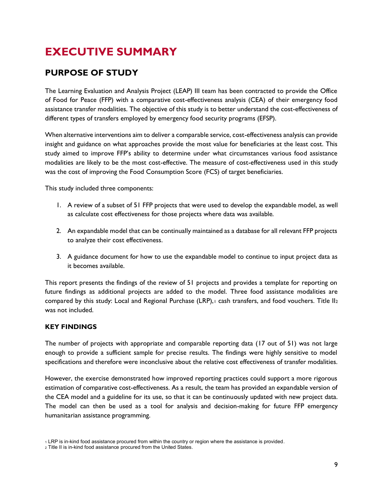# <span id="page-8-0"></span>**EXECUTIVE SUMMARY**

# **PURPOSE OF STUDY**

The Learning Evaluation and Analysis Project (LEAP) III team has been contracted to provide the Office of Food for Peace (FFP) with a comparative cost-effectiveness analysis (CEA) of their emergency food assistance transfer modalities. The objective of this study is to better understand the cost-effectiveness of different types of transfers employed by emergency food security programs (EFSP).

When alternative interventions aim to deliver a comparable service, cost-effectiveness analysis can provide insight and guidance on what approaches provide the most value for beneficiaries at the least cost. This study aimed to improve FFP's ability to determine under what circumstances various food assistance modalities are likely to be the most cost-effective. The measure of cost-effectiveness used in this study was the cost of improving the Food Consumption Score (FCS) of target beneficiaries.

This study included three components:

- 1. A review of a subset of 51 FFP projects that were used to develop the expandable model, as well as calculate cost effectiveness for those projects where data was available.
- 2. An expandable model that can be continually maintained as a database for all relevant FFP projects to analyze their cost effectiveness.
- 3. A guidance document for how to use the expandable model to continue to input project data as it becomes available.

This report presents the findings of the review of 51 projects and provides a template for reporting on future findings as additional projects are added to the model. Three food assistance modalities are compared by this study: Local and Regional Purchase (LRP), cash transfers, and food vouchers. Title II2 was not included.

### **KEY FINDINGS**

The number of projects with appropriate and comparable reporting data (17 out of 51) was not large enough to provide a sufficient sample for precise results. The findings were highly sensitive to model specifications and therefore were inconclusive about the relative cost effectiveness of transfer modalities.

However, the exercise demonstrated how improved reporting practices could support a more rigorous estimation of comparative cost-effectiveness. As a result, the team has provided an expandable version of the CEA model and a guideline for its use, so that it can be continuously updated with new project data. The model can then be used as a tool for analysis and decision-making for future FFP emergency humanitarian assistance programming.

<sup>1</sup> LRP is in-kind food assistance procured from within the country or region where the assistance is provided.

<sup>2</sup> Title II is in-kind food assistance procured from the United States.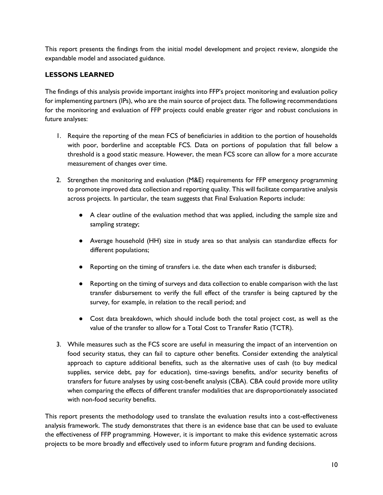This report presents the findings from the initial model development and project review, alongside the expandable model and associated guidance.

#### **LESSONS LEARNED**

The findings of this analysis provide important insights into FFP's project monitoring and evaluation policy for implementing partners (IPs), who are the main source of project data. The following recommendations for the monitoring and evaluation of FFP projects could enable greater rigor and robust conclusions in future analyses:

- 1. Require the reporting of the mean FCS of beneficiaries in addition to the portion of households with poor, borderline and acceptable FCS. Data on portions of population that fall below a threshold is a good static measure. However, the mean FCS score can allow for a more accurate measurement of changes over time.
- 2. Strengthen the monitoring and evaluation (M&E) requirements for FFP emergency programming to promote improved data collection and reporting quality. This will facilitate comparative analysis across projects. In particular, the team suggests that Final Evaluation Reports include:
	- A clear outline of the evaluation method that was applied, including the sample size and sampling strategy;
	- Average household (HH) size in study area so that analysis can standardize effects for different populations;
	- Reporting on the timing of transfers i.e. the date when each transfer is disbursed;
	- Reporting on the timing of surveys and data collection to enable comparison with the last transfer disbursement to verify the full effect of the transfer is being captured by the survey, for example, in relation to the recall period; and
	- Cost data breakdown, which should include both the total project cost, as well as the value of the transfer to allow for a Total Cost to Transfer Ratio (TCTR).
- 3. While measures such as the FCS score are useful in measuring the impact of an intervention on food security status, they can fail to capture other benefits. Consider extending the analytical approach to capture additional benefits, such as the alternative uses of cash (to buy medical supplies, service debt, pay for education), time-savings benefits, and/or security benefits of transfers for future analyses by using cost-benefit analysis (CBA). CBA could provide more utility when comparing the effects of different transfer modalities that are disproportionately associated with non-food security benefits.

This report presents the methodology used to translate the evaluation results into a cost-effectiveness analysis framework. The study demonstrates that there is an evidence base that can be used to evaluate the effectiveness of FFP programming. However, it is important to make this evidence systematic across projects to be more broadly and effectively used to inform future program and funding decisions.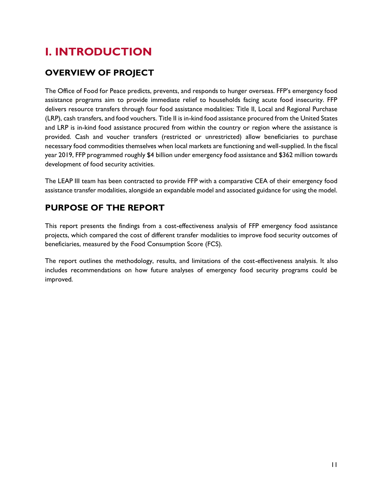# <span id="page-10-0"></span>**I. INTRODUCTION**

# **OVERVIEW OF PROJECT**

The Office of Food for Peace predicts, prevents, and responds to hunger overseas. FFP's emergency food assistance programs aim to provide immediate relief to households facing acute food insecurity. FFP delivers resource transfers through four food assistance modalities: Title II, Local and Regional Purchase (LRP), cash transfers, and food vouchers. Title II is in-kind food assistance procured from the United States and LRP is in-kind food assistance procured from within the country or region where the assistance is provided. Cash and voucher transfers (restricted or unrestricted) allow beneficiaries to purchase necessary food commodities themselves when local markets are functioning and well-supplied. In the fiscal year 2019, FFP programmed roughly \$4 billion under emergency food assistance and \$362 million towards development of food security activities.

The LEAP III team has been contracted to provide FFP with a comparative CEA of their emergency food assistance transfer modalities, alongside an expandable model and associated guidance for using the model.

# **PURPOSE OF THE REPORT**

This report presents the findings from a cost-effectiveness analysis of FFP emergency food assistance projects, which compared the cost of different transfer modalities to improve food security outcomes of beneficiaries, measured by the Food Consumption Score (FCS).

The report outlines the methodology, results, and limitations of the cost-effectiveness analysis. It also includes recommendations on how future analyses of emergency food security programs could be improved.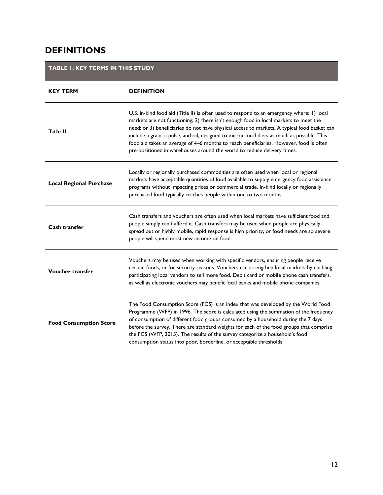# **DEFINITIONS**

<span id="page-11-0"></span>

| TABLE I: KEY TERMS IN THIS STUDY |                                                                                                                                                                                                                                                                                                                                                                                                                                                                                                                                                      |
|----------------------------------|------------------------------------------------------------------------------------------------------------------------------------------------------------------------------------------------------------------------------------------------------------------------------------------------------------------------------------------------------------------------------------------------------------------------------------------------------------------------------------------------------------------------------------------------------|
| <b>KEY TERM</b>                  | <b>DEFINITION</b>                                                                                                                                                                                                                                                                                                                                                                                                                                                                                                                                    |
| <b>Title II</b>                  | U.S. in-kind food aid (Title II) is often used to respond to an emergency where: 1) local<br>markets are not functioning; 2) there isn't enough food in local markets to meet the<br>need; or 3) beneficiaries do not have physical access to markets. A typical food basket can<br>include a grain, a pulse, and oil, designed to mirror local diets as much as possible. This<br>food aid takes an average of 4-6 months to reach beneficiaries. However, food is often<br>pre-positioned in warehouses around the world to reduce delivery times. |
| <b>Local Regional Purchase</b>   | Locally or regionally purchased commodities are often used when local or regional<br>markets have acceptable quantities of food available to supply emergency food assistance<br>programs without impacting prices or commercial trade. In-kind locally or regionally<br>purchased food typically reaches people within one to two months.                                                                                                                                                                                                           |
| Cash transfer                    | Cash transfers and vouchers are often used when local markets have sufficient food and<br>people simply can't afford it. Cash transfers may be used when people are physically<br>spread out or highly mobile, rapid response is high priority, or food needs are so severe<br>people will spend most new income on food.                                                                                                                                                                                                                            |
| <b>Voucher transfer</b>          | Vouchers may be used when working with specific vendors, ensuring people receive<br>certain foods, or for security reasons. Vouchers can strengthen local markets by enabling<br>participating local vendors to sell more food. Debit card or mobile phone cash transfers,<br>as well as electronic vouchers may benefit local banks and mobile phone companies.                                                                                                                                                                                     |
| <b>Food Consumption Score</b>    | The Food Consumption Score (FCS) is an index that was developed by the World Food<br>Programme (WFP) in 1996. The score is calculated using the summation of the frequency<br>of consumption of different food groups consumed by a household during the 7 days<br>before the survey. There are standard weights for each of the food groups that comprise<br>the FCS (WFP, 2015). The results of the survey categorize a household's food<br>consumption status into poor, borderline, or acceptable thresholds.                                    |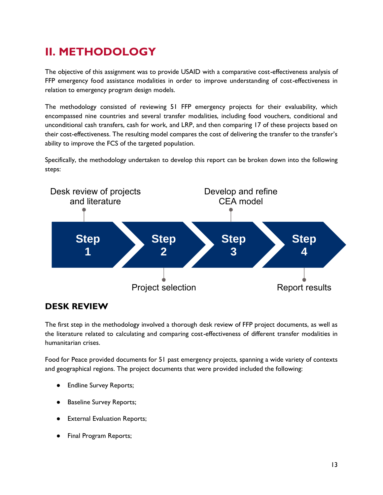# <span id="page-12-0"></span>**II. METHODOLOGY**

The objective of this assignment was to provide USAID with a comparative cost-effectiveness analysis of FFP emergency food assistance modalities in order to improve understanding of cost-effectiveness in relation to emergency program design models.

The methodology consisted of reviewing 51 FFP emergency projects for their evaluability, which encompassed nine countries and several transfer modalities, including food vouchers, conditional and unconditional cash transfers, cash for work, and LRP, and then comparing 17 of these projects based on their cost-effectiveness. The resulting model compares the cost of delivering the transfer to the transfer's ability to improve the FCS of the targeted population.

Specifically, the methodology undertaken to develop this report can be broken down into the following steps:



# **DESK REVIEW**

The first step in the methodology involved a thorough desk review of FFP project documents, as well as the literature related to calculating and comparing cost-effectiveness of different transfer modalities in humanitarian crises.

Food for Peace provided documents for 51 past emergency projects, spanning a wide variety of contexts and geographical regions. The project documents that were provided included the following:

- **Endline Survey Reports;**
- **Baseline Survey Reports;**
- **External Evaluation Reports;**
- **Final Program Reports;**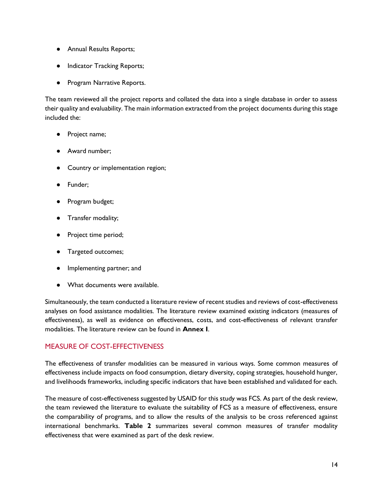- Annual Results Reports;
- Indicator Tracking Reports;
- Program Narrative Reports.

The team reviewed all the project reports and collated the data into a single database in order to assess their quality and evaluability. The main information extracted from the project documents during this stage included the:

- Project name;
- Award number;
- Country or implementation region;
- Funder;
- Program budget;
- Transfer modality;
- Project time period;
- Targeted outcomes;
- Implementing partner; and
- What documents were available.

Simultaneously, the team conducted a literature review of recent studies and reviews of cost-effectiveness analyses on food assistance modalities. The literature review examined existing indicators (measures of effectiveness), as well as evidence on effectiveness, costs, and cost-effectiveness of relevant transfer modalities. The literature review can be found in **Annex I**.

### MEASURE OF COST-EFFECTIVENESS

The effectiveness of transfer modalities can be measured in various ways. Some common measures of effectiveness include impacts on food consumption, dietary diversity, coping strategies, household hunger, and livelihoods frameworks, including specific indicators that have been established and validated for each.

The measure of cost-effectiveness suggested by USAID for this study was FCS. As part of the desk review, the team reviewed the literature to evaluate the suitability of FCS as a measure of effectiveness, ensure the comparability of programs, and to allow the results of the analysis to be cross referenced against international benchmarks. **Table 2** summarizes several common measures of transfer modality effectiveness that were examined as part of the desk review.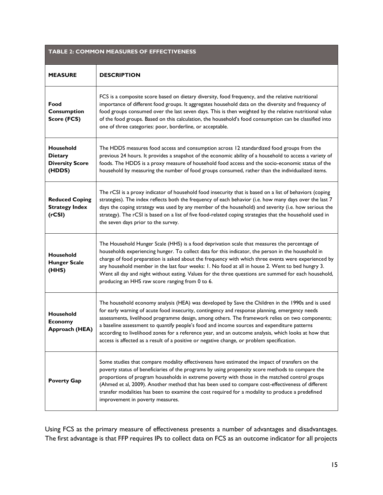<span id="page-14-0"></span>

| <b>TABLE 2: COMMON MEASURES OF EFFECTIVENESS</b>                |                                                                                                                                                                                                                                                                                                                                                                                                                                                                                                                                                                                                            |  |  |
|-----------------------------------------------------------------|------------------------------------------------------------------------------------------------------------------------------------------------------------------------------------------------------------------------------------------------------------------------------------------------------------------------------------------------------------------------------------------------------------------------------------------------------------------------------------------------------------------------------------------------------------------------------------------------------------|--|--|
| <b>MEASURE</b>                                                  | <b>DESCRIPTION</b>                                                                                                                                                                                                                                                                                                                                                                                                                                                                                                                                                                                         |  |  |
| Food<br>Consumption<br>Score (FCS)                              | FCS is a composite score based on dietary diversity, food frequency, and the relative nutritional<br>importance of different food groups. It aggregates household data on the diversity and frequency of<br>food groups consumed over the last seven days. This is then weighted by the relative nutritional value<br>of the food groups. Based on this calculation, the household's food consumption can be classified into<br>one of three categories: poor, borderline, or acceptable.                                                                                                                  |  |  |
| Household<br><b>Dietary</b><br><b>Diversity Score</b><br>(HDDS) | The HDDS measures food access and consumption across 12 standardized food groups from the<br>previous 24 hours. It provides a snapshot of the economic ability of a household to access a variety of<br>foods. The HDDS is a proxy measure of household food access and the socio-economic status of the<br>household by measuring the number of food groups consumed, rather than the individualized items.                                                                                                                                                                                               |  |  |
| <b>Reduced Coping</b><br><b>Strategy Index</b><br>(rcSI)        | The rCSI is a proxy indicator of household food insecurity that is based on a list of behaviors (coping<br>strategies). The index reflects both the frequency of each behavior (i.e. how many days over the last 7<br>days the coping strategy was used by any member of the household) and severity (i.e. how serious the<br>strategy). The rCSI is based on a list of five food-related coping strategies that the household used in<br>the seven days prior to the survey.                                                                                                                              |  |  |
| Household<br><b>Hunger Scale</b><br>(HHS)                       | The Household Hunger Scale (HHS) is a food deprivation scale that measures the percentage of<br>households experiencing hunger. To collect data for this indicator, the person in the household in<br>charge of food preparation is asked about the frequency with which three events were experienced by<br>any household member in the last four weeks: 1. No food at all in house 2. Went to bed hungry 3.<br>Went all day and night without eating. Values for the three questions are summed for each household,<br>producing an HHS raw score ranging from 0 to 6.                                   |  |  |
| Household<br><b>Economy</b><br>Approach (HEA)                   | The household economy analysis (HEA) was developed by Save the Children in the 1990s and is used<br>for early warning of acute food insecurity, contingency and response planning, emergency needs<br>assessments, livelihood programme design, among others. The framework relies on two components;<br>a baseline assessment to quantify people's food and income sources and expenditure patterns<br>according to livelihood zones for a reference year, and an outcome analysis, which looks at how that<br>access is affected as a result of a positive or negative change, or problem specification. |  |  |
| <b>Poverty Gap</b>                                              | Some studies that compare modality effectiveness have estimated the impact of transfers on the<br>poverty status of beneficiaries of the programs by using propensity score methods to compare the<br>proportions of program households in extreme poverty with those in the matched control groups<br>(Ahmed et al, 2009). Another method that has been used to compare cost-effectiveness of different<br>transfer modalities has been to examine the cost required for a modality to produce a predefined<br>improvement in poverty measures.                                                           |  |  |

Using FCS as the primary measure of effectiveness presents a number of advantages and disadvantages. The first advantage is that FFP requires IPs to collect data on FCS as an outcome indicator for all projects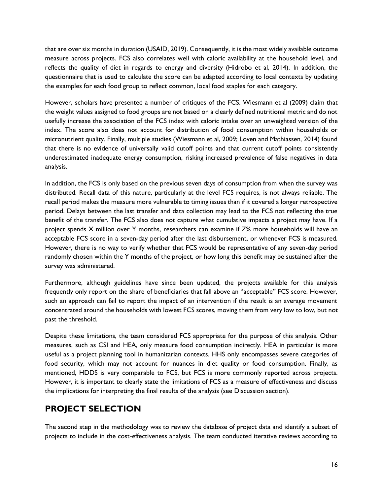that are over six months in duration (USAID, 2019). Consequently, it is the most widely available outcome measure across projects. FCS also correlates well with caloric availability at the household level, and reflects the quality of diet in regards to energy and diversity (Hidrobo et al, 2014). In addition, the questionnaire that is used to calculate the score can be adapted according to local contexts by updating the examples for each food group to reflect common, local food staples for each category.

However, scholars have presented a number of critiques of the FCS. Wiesmann et al (2009) claim that the weight values assigned to food groups are not based on a clearly defined nutritional metric and do not usefully increase the association of the FCS index with caloric intake over an unweighted version of the index. The score also does not account for distribution of food consumption within households or micronutrient quality. Finally, multiple studies (Wiesmann et al, 2009; Loven and Mathiassen, 2014) found that there is no evidence of universally valid cutoff points and that current cutoff points consistently underestimated inadequate energy consumption, risking increased prevalence of false negatives in data analysis.

In addition, the FCS is only based on the previous seven days of consumption from when the survey was distributed. Recall data of this nature, particularly at the level FCS requires, is not always reliable. The recall period makes the measure more vulnerable to timing issues than if it covered a longer retrospective period. Delays between the last transfer and data collection may lead to the FCS not reflecting the true benefit of the transfer. The FCS also does not capture what cumulative impacts a project may have. If a project spends X million over Y months, researchers can examine if Z% more households will have an acceptable FCS score in a seven-day period after the last disbursement, or whenever FCS is measured. However, there is no way to verify whether that FCS would be representative of any seven-day period randomly chosen within the Y months of the project, or how long this benefit may be sustained after the survey was administered.

Furthermore, although guidelines have since been updated, the projects available for this analysis frequently only report on the share of beneficiaries that fall above an "acceptable" FCS score. However, such an approach can fail to report the impact of an intervention if the result is an average movement concentrated around the households with lowest FCS scores, moving them from very low to low, but not past the threshold.

Despite these limitations, the team considered FCS appropriate for the purpose of this analysis. Other measures, such as CSI and HEA, only measure food consumption indirectly. HEA in particular is more useful as a project planning tool in humanitarian contexts. HHS only encompasses severe categories of food security, which may not account for nuances in diet quality or food consumption. Finally, as mentioned, HDDS is very comparable to FCS, but FCS is more commonly reported across projects. However, it is important to clearly state the limitations of FCS as a measure of effectiveness and discuss the implications for interpreting the final results of the analysis (see Discussion section).

# **PROJECT SELECTION**

The second step in the methodology was to review the database of project data and identify a subset of projects to include in the cost-effectiveness analysis. The team conducted iterative reviews according to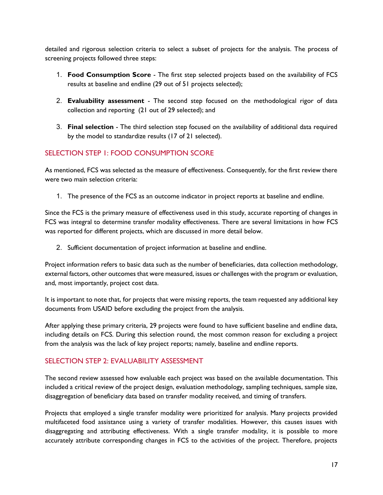detailed and rigorous selection criteria to select a subset of projects for the analysis. The process of screening projects followed three steps:

- 1. **Food Consumption Score** The first step selected projects based on the availability of FCS results at baseline and endline (29 out of 51 projects selected);
- 2. **Evaluability assessment** The second step focused on the methodological rigor of data collection and reporting (21 out of 29 selected); and
- 3. **Final selection**  The third selection step focused on the availability of additional data required by the model to standardize results (17 of 21 selected).

### SELECTION STEP 1: FOOD CONSUMPTION SCORE

As mentioned, FCS was selected as the measure of effectiveness. Consequently, for the first review there were two main selection criteria:

1. The presence of the FCS as an outcome indicator in project reports at baseline and endline.

Since the FCS is the primary measure of effectiveness used in this study, accurate reporting of changes in FCS was integral to determine transfer modality effectiveness. There are several limitations in how FCS was reported for different projects, which are discussed in more detail below.

2. Sufficient documentation of project information at baseline and endline.

Project information refers to basic data such as the number of beneficiaries, data collection methodology, external factors, other outcomes that were measured, issues or challenges with the program or evaluation, and, most importantly, project cost data.

It is important to note that, for projects that were missing reports, the team requested any additional key documents from USAID before excluding the project from the analysis.

After applying these primary criteria, 29 projects were found to have sufficient baseline and endline data, including details on FCS. During this selection round, the most common reason for excluding a project from the analysis was the lack of key project reports; namely, baseline and endline reports.

### SELECTION STEP 2: EVALUABILITY ASSESSMENT

The second review assessed how evaluable each project was based on the available documentation. This included a critical review of the project design, evaluation methodology, sampling techniques, sample size, disaggregation of beneficiary data based on transfer modality received, and timing of transfers.

Projects that employed a single transfer modality were prioritized for analysis. Many projects provided multifaceted food assistance using a variety of transfer modalities. However, this causes issues with disaggregating and attributing effectiveness. With a single transfer modality, it is possible to more accurately attribute corresponding changes in FCS to the activities of the project. Therefore, projects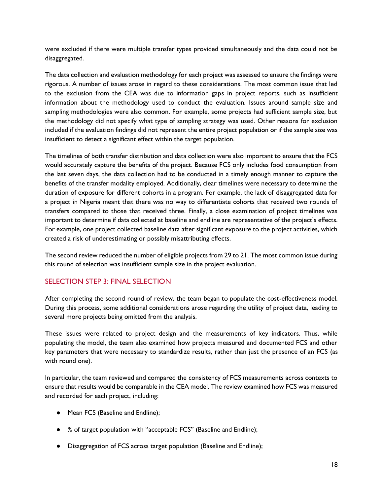were excluded if there were multiple transfer types provided simultaneously and the data could not be disaggregated.

The data collection and evaluation methodology for each project was assessed to ensure the findings were rigorous. A number of issues arose in regard to these considerations. The most common issue that led to the exclusion from the CEA was due to information gaps in project reports, such as insufficient information about the methodology used to conduct the evaluation. Issues around sample size and sampling methodologies were also common. For example, some projects had sufficient sample size, but the methodology did not specify what type of sampling strategy was used. Other reasons for exclusion included if the evaluation findings did not represent the entire project population or if the sample size was insufficient to detect a significant effect within the target population.

The timelines of both transfer distribution and data collection were also important to ensure that the FCS would accurately capture the benefits of the project. Because FCS only includes food consumption from the last seven days, the data collection had to be conducted in a timely enough manner to capture the benefits of the transfer modality employed. Additionally, clear timelines were necessary to determine the duration of exposure for different cohorts in a program. For example, the lack of disaggregated data for a project in Nigeria meant that there was no way to differentiate cohorts that received two rounds of transfers compared to those that received three. Finally, a close examination of project timelines was important to determine if data collected at baseline and endline are representative of the project's effects. For example, one project collected baseline data after significant exposure to the project activities, which created a risk of underestimating or possibly misattributing effects.

The second review reduced the number of eligible projects from 29 to 21. The most common issue during this round of selection was insufficient sample size in the project evaluation.

### SELECTION STEP 3: FINAL SELECTION

After completing the second round of review, the team began to populate the cost-effectiveness model. During this process, some additional considerations arose regarding the utility of project data, leading to several more projects being omitted from the analysis.

These issues were related to project design and the measurements of key indicators. Thus, while populating the model, the team also examined how projects measured and documented FCS and other key parameters that were necessary to standardize results, rather than just the presence of an FCS (as with round one).

In particular, the team reviewed and compared the consistency of FCS measurements across contexts to ensure that results would be comparable in the CEA model. The review examined how FCS was measured and recorded for each project, including:

- Mean FCS (Baseline and Endline);
- % of target population with "acceptable FCS" (Baseline and Endline);
- Disaggregation of FCS across target population (Baseline and Endline);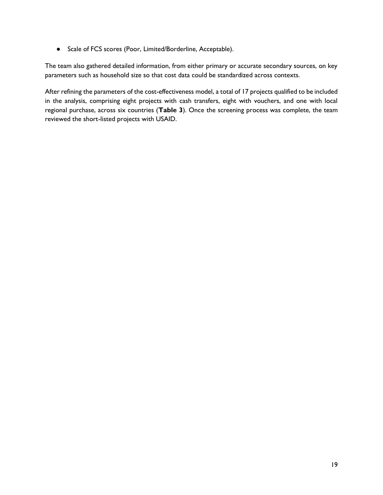● Scale of FCS scores (Poor, Limited/Borderline, Acceptable).

The team also gathered detailed information, from either primary or accurate secondary sources, on key parameters such as household size so that cost data could be standardized across contexts.

After refining the parameters of the cost-effectiveness model, a total of 17 projects qualified to be included in the analysis, comprising eight projects with cash transfers, eight with vouchers, and one with local regional purchase, across six countries (**Table 3**). Once the screening process was complete, the team reviewed the short-listed projects with USAID.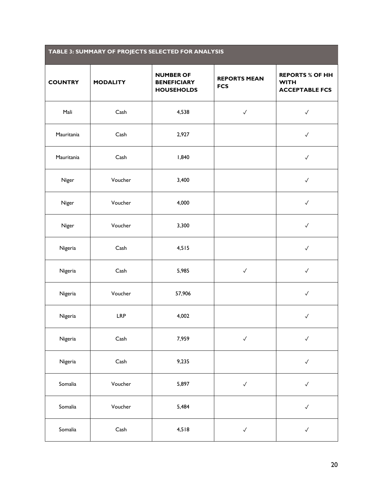<span id="page-19-0"></span>

| TABLE 3: SUMMARY OF PROJECTS SELECTED FOR ANALYSIS |                 |                                                             |                                   |                                                                |
|----------------------------------------------------|-----------------|-------------------------------------------------------------|-----------------------------------|----------------------------------------------------------------|
| <b>COUNTRY</b>                                     | <b>MODALITY</b> | <b>NUMBER OF</b><br><b>BENEFICIARY</b><br><b>HOUSEHOLDS</b> | <b>REPORTS MEAN</b><br><b>FCS</b> | <b>REPORTS % OF HH</b><br><b>WITH</b><br><b>ACCEPTABLE FCS</b> |
| Mali                                               | Cash            | 4,538                                                       | $\checkmark$                      | $\checkmark$                                                   |
| Mauritania                                         | Cash            | 2,927                                                       |                                   | $\checkmark$                                                   |
| Mauritania                                         | Cash            | 1,840                                                       |                                   | $\checkmark$                                                   |
| Niger                                              | Voucher         | 3,400                                                       |                                   | $\checkmark$                                                   |
| Niger                                              | Voucher         | 4,000                                                       |                                   | $\checkmark$                                                   |
| Niger                                              | Voucher         | 3,300                                                       |                                   | $\checkmark$                                                   |
| Nigeria                                            | Cash            | 4,515                                                       |                                   | $\checkmark$                                                   |
| Nigeria                                            | Cash            | 5,985                                                       | $\checkmark$                      | $\checkmark$                                                   |
| Nigeria                                            | Voucher         | 57,906                                                      |                                   | $\checkmark$                                                   |
| Nigeria                                            | <b>LRP</b>      | 4,002                                                       |                                   | $\checkmark$                                                   |
| Nigeria                                            | Cash            | 7,959                                                       | $\checkmark$                      | $\checkmark$                                                   |
| Nigeria                                            | Cash            | 9,235                                                       |                                   | $\checkmark$                                                   |
| Somalia                                            | Voucher         | 5,897                                                       | $\checkmark$                      | $\checkmark$                                                   |
| Somalia                                            | Voucher         | 5,484                                                       |                                   | $\checkmark$                                                   |
| Somalia                                            | Cash            | 4,518                                                       | $\checkmark$                      | $\checkmark$                                                   |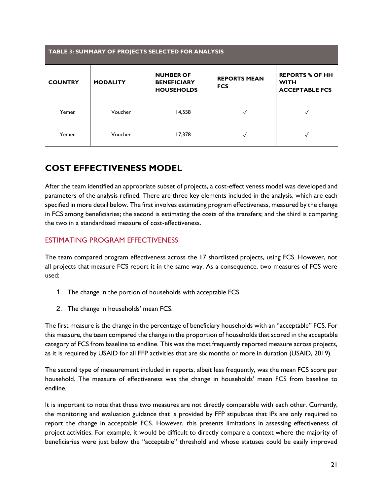| TABLE 3: SUMMARY OF PROJECTS SELECTED FOR ANALYSIS |                 |                                                             |                                   |                                                                |  |
|----------------------------------------------------|-----------------|-------------------------------------------------------------|-----------------------------------|----------------------------------------------------------------|--|
| <b>COUNTRY</b>                                     | <b>MODALITY</b> | <b>NUMBER OF</b><br><b>BENEFICIARY</b><br><b>HOUSEHOLDS</b> | <b>REPORTS MEAN</b><br><b>FCS</b> | <b>REPORTS % OF HH</b><br><b>WITH</b><br><b>ACCEPTABLE FCS</b> |  |
| Yemen                                              | Voucher         | 14,558                                                      | √                                 |                                                                |  |
| Yemen                                              | Voucher         | 17,378                                                      | $\checkmark$                      |                                                                |  |

# **COST EFFECTIVENESS MODEL**

After the team identified an appropriate subset of projects, a cost-effectiveness model was developed and parameters of the analysis refined. There are three key elements included in the analysis, which are each specified in more detail below. The first involves estimating program effectiveness, measured by the change in FCS among beneficiaries; the second is estimating the costs of the transfers; and the third is comparing the two in a standardized measure of cost-effectiveness.

### ESTIMATING PROGRAM EFFECTIVENESS

The team compared program effectiveness across the 17 shortlisted projects, using FCS. However, not all projects that measure FCS report it in the same way. As a consequence, two measures of FCS were used:

- 1. The change in the portion of households with acceptable FCS.
- 2. The change in households' mean FCS.

The first measure is the change in the percentage of beneficiary households with an "acceptable" FCS. For this measure, the team compared the change in the proportion of households that scored in the acceptable category of FCS from baseline to endline. This was the most frequently reported measure across projects, as it is required by USAID for all FFP activities that are six months or more in duration (USAID, 2019).

The second type of measurement included in reports, albeit less frequently, was the mean FCS score per household. The measure of effectiveness was the change in households' mean FCS from baseline to endline.

It is important to note that these two measures are not directly comparable with each other. Currently, the monitoring and evaluation guidance that is provided by FFP stipulates that IPs are only required to report the change in acceptable FCS. However, this presents limitations in assessing effectiveness of project activities. For example, it would be difficult to directly compare a context where the majority of beneficiaries were just below the "acceptable" threshold and whose statuses could be easily improved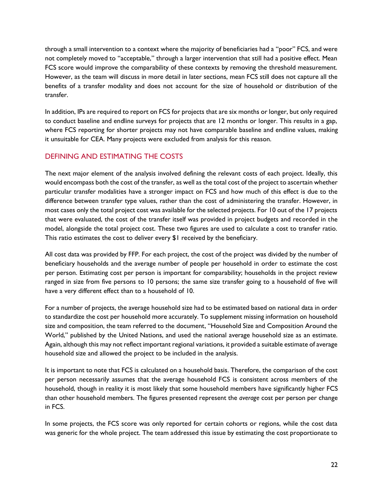through a small intervention to a context where the majority of beneficiaries had a "poor" FCS, and were not completely moved to "acceptable," through a larger intervention that still had a positive effect. Mean FCS score would improve the comparability of these contexts by removing the threshold measurement. However, as the team will discuss in more detail in later sections, mean FCS still does not capture all the benefits of a transfer modality and does not account for the size of household or distribution of the transfer.

In addition, IPs are required to report on FCS for projects that are six months or longer, but only required to conduct baseline and endline surveys for projects that are 12 months or longer. This results in a gap, where FCS reporting for shorter projects may not have comparable baseline and endline values, making it unsuitable for CEA. Many projects were excluded from analysis for this reason.

### DEFINING AND ESTIMATING THE COSTS

The next major element of the analysis involved defining the relevant costs of each project. Ideally, this would encompass both the cost of the transfer, as well as the total cost of the project to ascertain whether particular transfer modalities have a stronger impact on FCS and how much of this effect is due to the difference between transfer type values, rather than the cost of administering the transfer. However, in most cases only the total project cost was available for the selected projects. For 10 out of the 17 projects that were evaluated, the cost of the transfer itself was provided in project budgets and recorded in the model, alongside the total project cost. These two figures are used to calculate a cost to transfer ratio. This ratio estimates the cost to deliver every \$1 received by the beneficiary.

All cost data was provided by FFP. For each project, the cost of the project was divided by the number of beneficiary households and the average number of people per household in order to estimate the cost per person. Estimating cost per person is important for comparability; households in the project review ranged in size from five persons to 10 persons; the same size transfer going to a household of five will have a very different effect than to a household of 10.

For a number of projects, the average household size had to be estimated based on national data in order to standardize the cost per household more accurately. To supplement missing information on household size and composition, the team referred to the document, "Household Size and Composition Around the World," published by the United Nations, and used the national average household size as an estimate. Again, although this may not reflect important regional variations, it provided a suitable estimate of average household size and allowed the project to be included in the analysis.

It is important to note that FCS is calculated on a household basis. Therefore, the comparison of the cost per person necessarily assumes that the average household FCS is consistent across members of the household, though in reality it is most likely that some household members have significantly higher FCS than other household members. The figures presented represent the *average* cost per person per change in FCS.

In some projects, the FCS score was only reported for certain cohorts or regions, while the cost data was generic for the whole project. The team addressed this issue by estimating the cost proportionate to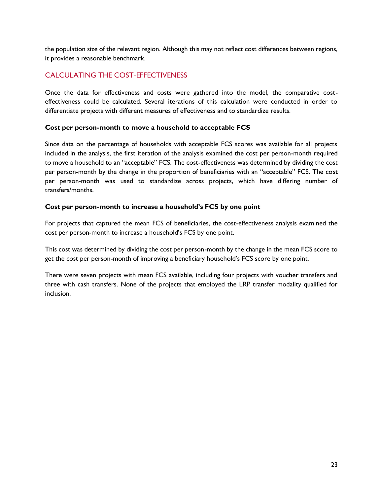the population size of the relevant region. Although this may not reflect cost differences between regions, it provides a reasonable benchmark.

### CALCULATING THE COST-EFFECTIVENESS

Once the data for effectiveness and costs were gathered into the model, the comparative costeffectiveness could be calculated. Several iterations of this calculation were conducted in order to differentiate projects with different measures of effectiveness and to standardize results.

#### **Cost per person-month to move a household to acceptable FCS**

Since data on the percentage of households with acceptable FCS scores was available for all projects included in the analysis, the first iteration of the analysis examined the cost per person-month required to move a household to an "acceptable" FCS. The cost-effectiveness was determined by dividing the cost per person-month by the change in the proportion of beneficiaries with an "acceptable" FCS. The cost per person-month was used to standardize across projects, which have differing number of transfers/months.

#### **Cost per person-month to increase a household's FCS by one point**

For projects that captured the mean FCS of beneficiaries, the cost-effectiveness analysis examined the cost per person-month to increase a household's FCS by one point.

This cost was determined by dividing the cost per person-month by the change in the mean FCS score to get the cost per person-month of improving a beneficiary household's FCS score by one point.

There were seven projects with mean FCS available, including four projects with voucher transfers and three with cash transfers. None of the projects that employed the LRP transfer modality qualified for inclusion.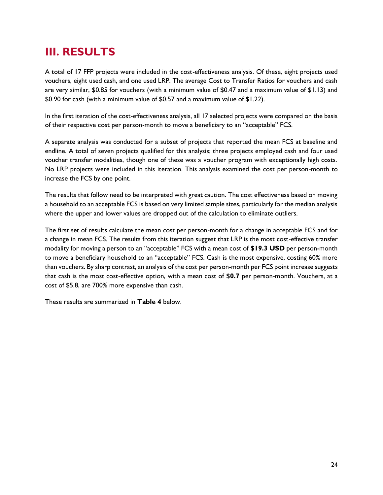# <span id="page-23-0"></span>**III. RESULTS**

A total of 17 FFP projects were included in the cost-effectiveness analysis. Of these, eight projects used vouchers, eight used cash, and one used LRP. The average Cost to Transfer Ratios for vouchers and cash are very similar, \$0.85 for vouchers (with a minimum value of \$0.47 and a maximum value of \$1.13) and \$0.90 for cash (with a minimum value of \$0.57 and a maximum value of \$1.22).

In the first iteration of the cost-effectiveness analysis, all 17 selected projects were compared on the basis of their respective cost per person-month to move a beneficiary to an "acceptable" FCS.

A separate analysis was conducted for a subset of projects that reported the mean FCS at baseline and endline. A total of seven projects qualified for this analysis; three projects employed cash and four used voucher transfer modalities, though one of these was a voucher program with exceptionally high costs. No LRP projects were included in this iteration. This analysis examined the cost per person-month to increase the FCS by one point.

The results that follow need to be interpreted with great caution. The cost effectiveness based on moving a household to an acceptable FCS is based on very limited sample sizes, particularly for the median analysis where the upper and lower values are dropped out of the calculation to eliminate outliers.

The first set of results calculate the mean cost per person-month for a change in acceptable FCS and for a change in mean FCS. The results from this iteration suggest that LRP is the most cost-effective transfer modality for moving a person to an "acceptable" FCS with a mean cost of **\$19.3 USD** per person-month to move a beneficiary household to an "acceptable" FCS. Cash is the most expensive, costing 60% more than vouchers. By sharp contrast, an analysis of the cost per person-month per FCS point increase suggests that cash is the most cost-effective option, with a mean cost of **\$0.7** per person-month. Vouchers, at a cost of \$5.8, are 700% more expensive than cash.

These results are summarized in **Table 4** below.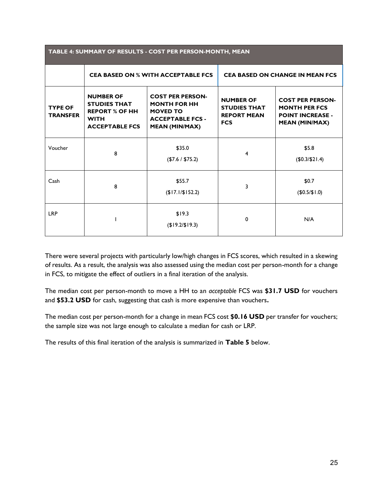<span id="page-24-0"></span>

| TABLE 4: SUMMARY OF RESULTS - COST PER PERSON-MONTH, MEAN |                                                                                                          |                                                                                                                       |                                                                             |                                                                                                     |
|-----------------------------------------------------------|----------------------------------------------------------------------------------------------------------|-----------------------------------------------------------------------------------------------------------------------|-----------------------------------------------------------------------------|-----------------------------------------------------------------------------------------------------|
|                                                           | <b>CEA BASED ON % WITH ACCEPTABLE FCS</b>                                                                |                                                                                                                       | <b>CEA BASED ON CHANGE IN MEAN FCS</b>                                      |                                                                                                     |
| <b>TYPE OF</b><br><b>TRANSFER</b>                         | <b>NUMBER OF</b><br><b>STUDIES THAT</b><br><b>REPORT % OF HH</b><br><b>WITH</b><br><b>ACCEPTABLE FCS</b> | <b>COST PER PERSON-</b><br><b>MONTH FOR HH</b><br><b>MOVED TO</b><br><b>ACCEPTABLE FCS -</b><br><b>MEAN (MIN/MAX)</b> | <b>NUMBER OF</b><br><b>STUDIES THAT</b><br><b>REPORT MEAN</b><br><b>FCS</b> | <b>COST PER PERSON-</b><br><b>MONTH PER FCS</b><br><b>POINT INCREASE -</b><br><b>MEAN (MIN/MAX)</b> |
| Voucher                                                   | 8                                                                                                        | \$35.0<br>(\$7.6 / \$75.2)                                                                                            | 4                                                                           | \$5.8<br>(\$0.3/\$21.4)                                                                             |
| Cash                                                      | 8                                                                                                        | \$55.7<br>(\$17.1/\$152.2)                                                                                            | 3                                                                           | \$0.7<br>(\$0.5/\$1.0)                                                                              |
| <b>LRP</b>                                                |                                                                                                          | \$19.3<br>$($19.2/\$19.3)$                                                                                            | 0                                                                           | N/A                                                                                                 |

There were several projects with particularly low/high changes in FCS scores, which resulted in a skewing of results. As a result, the analysis was also assessed using the median cost per person-month for a change in FCS, to mitigate the effect of outliers in a final iteration of the analysis.

The median cost per person-month to move a HH to an *acceptable* FCS was **\$31.7 USD** for vouchers and **\$53.2 USD** for cash, suggesting that cash is more expensive than vouchers**.** 

The median cost per person-month for a change in mean FCS cost **\$0.16 USD** per transfer for vouchers; the sample size was not large enough to calculate a median for cash or LRP.

The results of this final iteration of the analysis is summarized in **Table 5** below.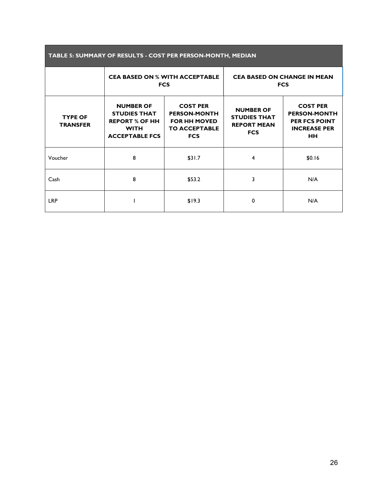| TABLE 5: SUMMARY OF RESULTS - COST PER PERSON-MONTH, MEDIAN |                                                                                                          |                                                                                                     |                                                                             |                                                                                                    |  |
|-------------------------------------------------------------|----------------------------------------------------------------------------------------------------------|-----------------------------------------------------------------------------------------------------|-----------------------------------------------------------------------------|----------------------------------------------------------------------------------------------------|--|
|                                                             |                                                                                                          | <b>CEA BASED ON % WITH ACCEPTABLE</b><br><b>FCS</b>                                                 | <b>CEA BASED ON CHANGE IN MEAN</b><br><b>FCS</b>                            |                                                                                                    |  |
| <b>TYPE OF</b><br><b>TRANSFER</b>                           | <b>NUMBER OF</b><br><b>STUDIES THAT</b><br><b>REPORT % OF HH</b><br><b>WITH</b><br><b>ACCEPTABLE FCS</b> | <b>COST PER</b><br><b>PERSON-MONTH</b><br><b>FOR HH MOVED</b><br><b>TO ACCEPTABLE</b><br><b>FCS</b> | <b>NUMBER OF</b><br><b>STUDIES THAT</b><br><b>REPORT MEAN</b><br><b>FCS</b> | <b>COST PER</b><br><b>PERSON-MONTH</b><br><b>PER FCS POINT</b><br><b>INCREASE PER</b><br><b>HH</b> |  |
| Voucher                                                     | 8                                                                                                        | \$31.7                                                                                              | 4                                                                           | \$0.16                                                                                             |  |
| Cash                                                        | 8                                                                                                        | \$53.2                                                                                              | 3                                                                           | N/A                                                                                                |  |
| <b>LRP</b>                                                  |                                                                                                          | \$19.3                                                                                              | 0                                                                           | N/A                                                                                                |  |

<span id="page-25-0"></span>П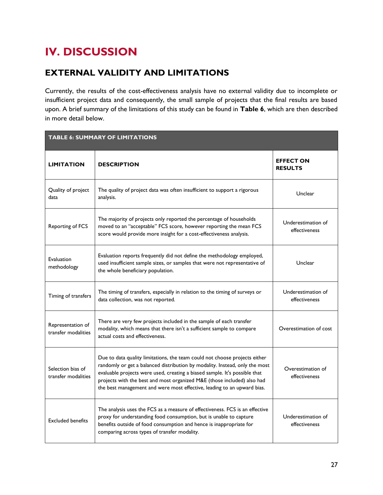# <span id="page-26-0"></span>**IV. DISCUSSION**

# **EXTERNAL VALIDITY AND LIMITATIONS**

Currently, the results of the cost-effectiveness analysis have no external validity due to incomplete or insufficient project data and consequently, the small sample of projects that the final results are based upon. A brief summary of the limitations of this study can be found in **Table 6**, which are then described in more detail below.

<span id="page-26-1"></span>

| <b>TABLE 6: SUMMARY OF LIMITATIONS</b>   |                                                                                                                                                                                                                                                                                                                                                                                               |                                     |  |  |  |
|------------------------------------------|-----------------------------------------------------------------------------------------------------------------------------------------------------------------------------------------------------------------------------------------------------------------------------------------------------------------------------------------------------------------------------------------------|-------------------------------------|--|--|--|
| <b>LIMITATION</b>                        | <b>DESCRIPTION</b>                                                                                                                                                                                                                                                                                                                                                                            | <b>EFFECT ON</b><br><b>RESULTS</b>  |  |  |  |
| Quality of project<br>data               | The quality of project data was often insufficient to support a rigorous<br>analysis.                                                                                                                                                                                                                                                                                                         | Unclear                             |  |  |  |
| Reporting of FCS                         | The majority of projects only reported the percentage of households<br>moved to an "acceptable" FCS score, however reporting the mean FCS<br>score would provide more insight for a cost-effectiveness analysis.                                                                                                                                                                              | Underestimation of<br>effectiveness |  |  |  |
| Evaluation<br>methodology                | Evaluation reports frequently did not define the methodology employed,<br>used insufficient sample sizes, or samples that were not representative of<br>the whole beneficiary population.                                                                                                                                                                                                     | Unclear                             |  |  |  |
| Timing of transfers                      | The timing of transfers, especially in relation to the timing of surveys or<br>data collection, was not reported.                                                                                                                                                                                                                                                                             | Underestimation of<br>effectiveness |  |  |  |
| Representation of<br>transfer modalities | There are very few projects included in the sample of each transfer<br>modality, which means that there isn't a sufficient sample to compare<br>actual costs and effectiveness.                                                                                                                                                                                                               | Overestimation of cost              |  |  |  |
| Selection bias of<br>transfer modalities | Due to data quality limitations, the team could not choose projects either<br>randomly or get a balanced distribution by modality. Instead, only the most<br>evaluable projects were used, creating a biased sample. It's possible that<br>projects with the best and most organized M&E (those included) also had<br>the best management and were most effective, leading to an upward bias. | Overestimation of<br>effectiveness  |  |  |  |
| <b>Excluded benefits</b>                 | The analysis uses the FCS as a measure of effectiveness. FCS is an effective<br>proxy for understanding food consumption, but is unable to capture<br>benefits outside of food consumption and hence is inappropriate for<br>comparing across types of transfer modality.                                                                                                                     | Underestimation of<br>effectiveness |  |  |  |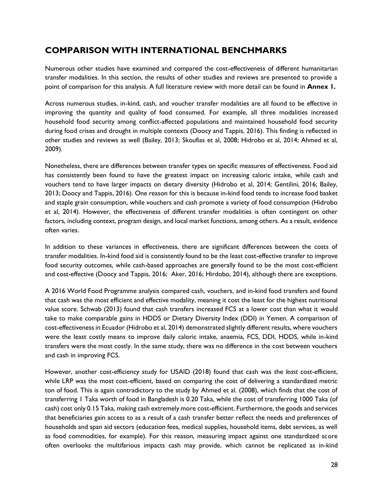# **COMPARISON WITH INTERNATIONAL BENCHMARKS**

Numerous other studies have examined and compared the cost-effectiveness of different humanitarian transfer modalities. In this section, the results of other studies and reviews are presented to provide a point of comparison for this analysis. A full literature review with more detail can be found in **Annex 1.**

Across numerous studies, in-kind, cash, and voucher transfer modalities are all found to be effective in improving the quantity and quality of food consumed. For example, all three modalities increased household food security among conflict-affected populations and maintained household food security during food crises and drought in multiple contexts (Doocy and Tappis, 2016). This finding is reflected in other studies and reviews as well (Bailey, 2013; Skoufias et al, 2008; Hidrobo et al, 2014; Ahmed et al, 2009).

Nonetheless, there are differences between transfer types on specific measures of effectiveness. Food aid has consistently been found to have the greatest impact on increasing caloric intake, while cash and vouchers tend to have larger impacts on dietary diversity (Hidrobo et al, 2014; Gentilini, 2016; Bailey, 2013; Doocy and Tappis, 2016). One reason for this is because in-kind food tends to increase food basket and staple grain consumption, while vouchers and cash promote a variety of food consumption (Hidrobo et al, 2014). However, the effectiveness of different transfer modalities is often contingent on other factors, including context, program design, and local market functions, among others. As a result, evidence often varies.

In addition to these variances in effectiveness, there are significant differences between the costs of transfer modalities. In-kind food aid is consistently found to be the least cost-effective transfer to improve food security outcomes, while cash-based approaches are generally found to be the most cost-efficient and cost-effective (Doocy and Tappis, 2016; Aker, 2016; Hirdobo, 2014), although there are exceptions.

A 2016 World Food Programme analysis compared cash, vouchers, and in-kind food transfers and found that cash was the most efficient and effective modality, meaning it cost the least for the highest nutritional value score. Schwab (2013) found that cash transfers increased FCS at a lower cost than what it would take to make comparable gains in HDDS or Dietary Diversity Index (DDI) in Yemen. A comparison of cost-effectiveness in Ecuador (Hidrobo et al, 2014) demonstrated slightly different results, where vouchers were the least costly means to improve daily caloric intake, anaemia, FCS, DDI, HDDS, while in-kind transfers were the most costly. In the same study, there was no difference in the cost between vouchers and cash in improving FCS.

However, another cost-efficiency study for USAID (2018) found that cash was the *least* cost-efficient, while LRP was the most cost-efficient, based on comparing the cost of delivering a standardized metric ton of food. This is again contradictory to the study by Ahmed et al. (2008), which finds that the cost of transferring 1 Taka worth of food in Bangladesh is 0.20 Taka, while the cost of transferring 1000 Taka (of cash) cost only 0.15 Taka, making cash extremely more cost-efficient. Furthermore, the goods and services that beneficiaries gain access to as a result of a cash transfer better reflect the needs and preferences of households and span aid sectors (education fees, medical supplies, household items, debt services, as well as food commodities, for example). For this reason, measuring impact against one standardized score often overlooks the multifarious impacts cash may provide, which cannot be replicated as in-kind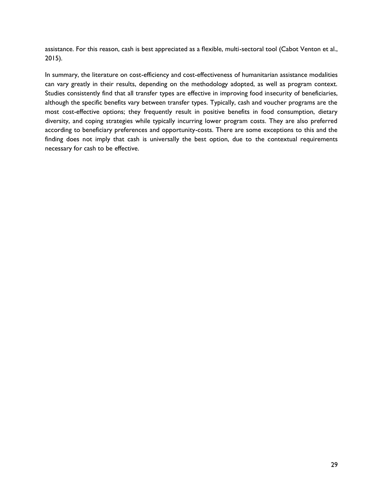assistance. For this reason, cash is best appreciated as a flexible, multi-sectoral tool (Cabot Venton et al., 2015).

In summary, the literature on cost-efficiency and cost-effectiveness of humanitarian assistance modalities can vary greatly in their results, depending on the methodology adopted, as well as program context. Studies consistently find that all transfer types are effective in improving food insecurity of beneficiaries, although the specific benefits vary between transfer types. Typically, cash and voucher programs are the most cost-effective options; they frequently result in positive benefits in food consumption, dietary diversity, and coping strategies while typically incurring lower program costs. They are also preferred according to beneficiary preferences and opportunity-costs. There are some exceptions to this and the finding does not imply that cash is universally the best option, due to the contextual requirements necessary for cash to be effective.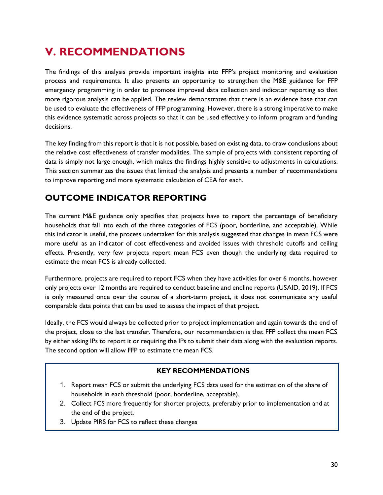# <span id="page-29-0"></span>**V. RECOMMENDATIONS**

The findings of this analysis provide important insights into FFP's project monitoring and evaluation process and requirements. It also presents an opportunity to strengthen the M&E guidance for FFP emergency programming in order to promote improved data collection and indicator reporting so that more rigorous analysis can be applied. The review demonstrates that there is an evidence base that can be used to evaluate the effectiveness of FFP programming. However, there is a strong imperative to make this evidence systematic across projects so that it can be used effectively to inform program and funding decisions.

The key finding from this report is that it is not possible, based on existing data, to draw conclusions about the relative cost effectiveness of transfer modalities. The sample of projects with consistent reporting of data is simply not large enough, which makes the findings highly sensitive to adjustments in calculations. This section summarizes the issues that limited the analysis and presents a number of recommendations to improve reporting and more systematic calculation of CEA for each.

# **OUTCOME INDICATOR REPORTING**

The current M&E guidance only specifies that projects have to report the percentage of beneficiary households that fall into each of the three categories of FCS (poor, borderline, and acceptable). While this indicator is useful, the process undertaken for this analysis suggested that changes in mean FCS were more useful as an indicator of cost effectiveness and avoided issues with threshold cutoffs and ceiling effects. Presently, very few projects report mean FCS even though the underlying data required to estimate the mean FCS is already collected.

Furthermore, projects are required to report FCS when they have activities for over 6 months, however only projects over 12 months are required to conduct baseline and endline reports (USAID, 2019). If FCS is only measured once over the course of a short-term project, it does not communicate any useful comparable data points that can be used to assess the impact of that project.

Ideally, the FCS would always be collected prior to project implementation and again towards the end of the project, close to the last transfer. Therefore, our recommendation is that FFP collect the mean FCS by either asking IPs to report it or requiring the IPs to submit their data along with the evaluation reports. The second option will allow FFP to estimate the mean FCS.

### **KEY RECOMMENDATIONS**

- 1. Report mean FCS or submit the underlying FCS data used for the estimation of the share of households in each threshold (poor, borderline, acceptable).
- 2. Collect FCS more frequently for shorter projects, preferably prior to implementation and at the end of the project.
- 3. Update PIRS for FCS to reflect these changes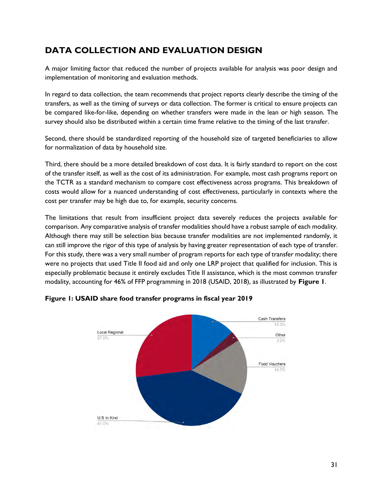# **DATA COLLECTION AND EVALUATION DESIGN**

A major limiting factor that reduced the number of projects available for analysis was poor design and implementation of monitoring and evaluation methods.

In regard to data collection, the team recommends that project reports clearly describe the timing of the transfers, as well as the timing of surveys or data collection. The former is critical to ensure projects can be compared like-for-like, depending on whether transfers were made in the lean or high season. The survey should also be distributed within a certain time frame relative to the timing of the last transfer.

Second, there should be standardized reporting of the household size of targeted beneficiaries to allow for normalization of data by household size.

Third, there should be a more detailed breakdown of cost data. It is fairly standard to report on the cost of the transfer itself, as well as the cost of its administration. For example, most cash programs report on the TCTR as a standard mechanism to compare cost effectiveness across programs. This breakdown of costs would allow for a nuanced understanding of cost effectiveness, particularly in contexts where the cost per transfer may be high due to, for example, security concerns.

The limitations that result from insufficient project data severely reduces the projects available for comparison. Any comparative analysis of transfer modalities should have a robust sample of each modality. Although there may still be selection bias because transfer modalities are not implemented randomly, it can still improve the rigor of this type of analysis by having greater representation of each type of transfer. For this study, there was a very small number of program reports for each type of transfer modality; there were no projects that used Title II food aid and only one LRP project that qualified for inclusion. This is especially problematic because it entirely excludes Title II assistance, which is the most common transfer modality, accounting for 46% of FFP programming in 2018 (USAID, 2018), as illustrated by **Figure 1**.



<span id="page-30-0"></span>**Figure 1: USAID share food transfer programs in fiscal year 2019**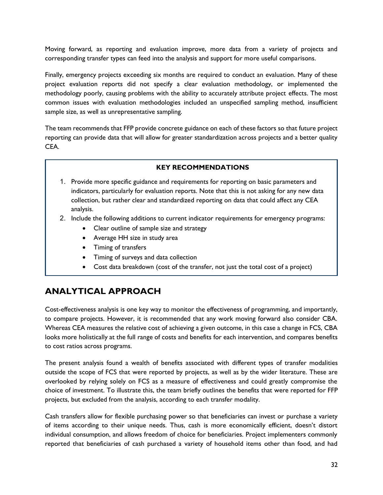Moving forward, as reporting and evaluation improve, more data from a variety of projects and corresponding transfer types can feed into the analysis and support for more useful comparisons.

Finally, emergency projects exceeding six months are required to conduct an evaluation. Many of these project evaluation reports did not specify a clear evaluation methodology, or implemented the methodology poorly, causing problems with the ability to accurately attribute project effects. The most common issues with evaluation methodologies included an unspecified sampling method, insufficient sample size, as well as unrepresentative sampling.

The team recommends that FFP provide concrete guidance on each of these factors so that future project reporting can provide data that will allow for greater standardization across projects and a better quality CEA.

#### **KEY RECOMMENDATIONS**

- 1. Provide more specific guidance and requirements for reporting on basic parameters and indicators, particularly for evaluation reports. Note that this is not asking for any new data collection, but rather clear and standardized reporting on data that could affect any CEA analysis.
- 2. Include the following additions to current indicator requirements for emergency programs:
	- Clear outline of sample size and strategy
	- Average HH size in study area
	- Timing of transfers
	- Timing of surveys and data collection
	- Cost data breakdown (cost of the transfer, not just the total cost of a project)

# **ANALYTICAL APPROACH**

Cost-effectiveness analysis is one key way to monitor the effectiveness of programming, and importantly, to compare projects. However, it is recommended that any work moving forward also consider CBA. Whereas CEA measures the relative cost of achieving a given outcome, in this case a change in FCS, CBA looks more holistically at the full range of costs and benefits for each intervention, and compares benefits to cost ratios across programs.

The present analysis found a wealth of benefits associated with different types of transfer modalities outside the scope of FCS that were reported by projects, as well as by the wider literature. These are overlooked by relying solely on FCS as a measure of effectiveness and could greatly compromise the choice of investment. To illustrate this, the team briefly outlines the benefits that were reported for FFP projects, but excluded from the analysis, according to each transfer modality.

Cash transfers allow for flexible purchasing power so that beneficiaries can invest or purchase a variety of items according to their unique needs. Thus, cash is more economically efficient, doesn't distort individual consumption, and allows freedom of choice for beneficiaries. Project implementers commonly reported that beneficiaries of cash purchased a variety of household items other than food, and had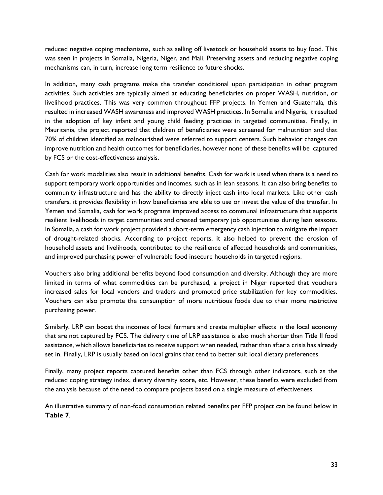reduced negative coping mechanisms, such as selling off livestock or household assets to buy food. This was seen in projects in Somalia, Nigeria, Niger, and Mali. Preserving assets and reducing negative coping mechanisms can, in turn, increase long term resilience to future shocks.

In addition, many cash programs make the transfer conditional upon participation in other program activities. Such activities are typically aimed at educating beneficiaries on proper WASH, nutrition, or livelihood practices. This was very common throughout FFP projects. In Yemen and Guatemala, this resulted in increased WASH awareness and improved WASH practices. In Somalia and Nigeria, it resulted in the adoption of key infant and young child feeding practices in targeted communities. Finally, in Mauritania, the project reported that children of beneficiaries were screened for malnutrition and that 70% of children identified as malnourished were referred to support centers. Such behavior changes can improve nutrition and health outcomes for beneficiaries, however none of these benefits will be captured by FCS or the cost-effectiveness analysis.

Cash for work modalities also result in additional benefits. Cash for work is used when there is a need to support temporary work opportunities and incomes, such as in lean seasons. It can also bring benefits to community infrastructure and has the ability to directly inject cash into local markets. Like other cash transfers, it provides flexibility in how beneficiaries are able to use or invest the value of the transfer. In Yemen and Somalia, cash for work programs improved access to communal infrastructure that supports resilient livelihoods in target communities and created temporary job opportunities during lean seasons. In Somalia, a cash for work project provided a short-term emergency cash injection to mitigate the impact of drought-related shocks. According to project reports, it also helped to prevent the erosion of household assets and livelihoods, contributed to the resilience of affected households and communities, and improved purchasing power of vulnerable food insecure households in targeted regions.

Vouchers also bring additional benefits beyond food consumption and diversity. Although they are more limited in terms of what commodities can be purchased, a project in Niger reported that vouchers increased sales for local vendors and traders and promoted price stabilization for key commodities. Vouchers can also promote the consumption of more nutritious foods due to their more restrictive purchasing power.

Similarly, LRP can boost the incomes of local farmers and create multiplier effects in the local economy that are not captured by FCS. The delivery time of LRP assistance is also much shorter than Title II food assistance, which allows beneficiaries to receive support when needed, rather than after a crisis has already set in. Finally, LRP is usually based on local grains that tend to better suit local dietary preferences.

Finally, many project reports captured benefits other than FCS through other indicators, such as the reduced coping strategy index, dietary diversity score, etc. However, these benefits were excluded from the analysis because of the need to compare projects based on a single measure of effectiveness.

An illustrative summary of non-food consumption related benefits per FFP project can be found below in **Table 7**.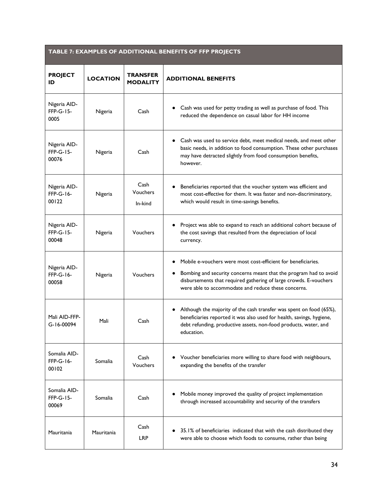<span id="page-33-0"></span>

| TABLE 7: EXAMPLES OF ADDITIONAL BENEFITS OF FFP PROJECTS |                 |                                    |                                                                                                                                                                                                                                                                |  |
|----------------------------------------------------------|-----------------|------------------------------------|----------------------------------------------------------------------------------------------------------------------------------------------------------------------------------------------------------------------------------------------------------------|--|
| <b>PROJECT</b><br>ID                                     | <b>LOCATION</b> | <b>TRANSFER</b><br><b>MODALITY</b> | <b>ADDITIONAL BENEFITS</b>                                                                                                                                                                                                                                     |  |
| Nigeria AID-<br><b>FFP-G-15-</b><br>0005                 | Nigeria         | Cash                               | Cash was used for petty trading as well as purchase of food. This<br>reduced the dependence on casual labor for HH income                                                                                                                                      |  |
| Nigeria AID-<br>FFP-G-15-<br>00076                       | Nigeria         | Cash                               | Cash was used to service debt, meet medical needs, and meet other<br>basic needs, in addition to food consumption. These other purchases<br>may have detracted slightly from food consumption benefits,<br>however.                                            |  |
| Nigeria AID-<br>FFP-G-16-<br>00122                       | Nigeria         | Cash<br>Vouchers<br>In-kind        | Beneficiaries reported that the voucher system was efficient and<br>most cost-effective for them. It was faster and non-discriminatory,<br>which would result in time-savings benefits.                                                                        |  |
| Nigeria AID-<br>FFP-G-15-<br>00048                       | Nigeria         | <b>Vouchers</b>                    | Project was able to expand to reach an additional cohort because of<br>the cost savings that resulted from the depreciation of local<br>currency.                                                                                                              |  |
| Nigeria AID-<br>FFP-G-16-<br>00058                       | Nigeria         | <b>Vouchers</b>                    | Mobile e-vouchers were most cost-efficient for beneficiaries.<br>Bombing and security concerns meant that the program had to avoid<br>disbursements that required gathering of large crowds. E-vouchers<br>were able to accommodate and reduce these concerns. |  |
| Mali AID-FFP-<br>G-16-00094                              | Mali            | Cash                               | Although the majority of the cash transfer was spent on food (65%),<br>beneficiaries reported it was also used for health, savings, hygiene,<br>debt refunding, productive assets, non-food products, water, and<br>education.                                 |  |
| Somalia AID-<br>FFP-G-16-<br>00102                       | Somalia         | Cash<br>Vouchers                   | Voucher beneficiaries more willing to share food with neighbours,<br>expanding the benefits of the transfer                                                                                                                                                    |  |
| Somalia AID-<br>FFP-G-15-<br>00069                       | Somalia         | Cash                               | Mobile money improved the quality of project implementation<br>through increased accountability and security of the transfers                                                                                                                                  |  |
| Mauritania                                               | Mauritania      | Cash<br><b>LRP</b>                 | 35.1% of beneficiaries indicated that with the cash distributed they<br>were able to choose which foods to consume, rather than being                                                                                                                          |  |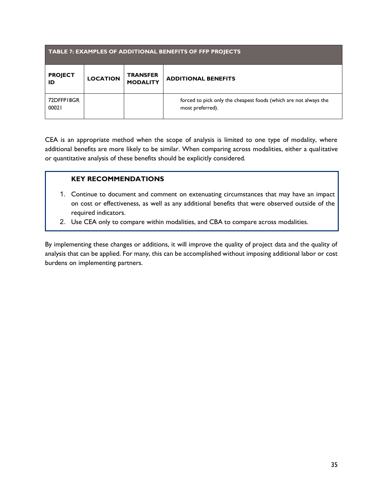| <b>TABLE 7: EXAMPLES OF ADDITIONAL BENEFITS OF FFP PROJECTS</b> |                 |                                    |                                                                                      |  |  |
|-----------------------------------------------------------------|-----------------|------------------------------------|--------------------------------------------------------------------------------------|--|--|
| <b>PROJECT</b><br>ID                                            | <b>LOCATION</b> | <b>TRANSFER</b><br><b>MODALITY</b> | <b>ADDITIONAL BENEFITS</b>                                                           |  |  |
| 72DFFP18GR<br>00021                                             |                 |                                    | forced to pick only the cheapest foods (which are not always the<br>most preferred). |  |  |

CEA is an appropriate method when the scope of analysis is limited to one type of modality, where additional benefits are more likely to be similar. When comparing across modalities, either a qualitative or quantitative analysis of these benefits should be explicitly considered.

### **KEY RECOMMENDATIONS**

- 1. Continue to document and comment on extenuating circumstances that may have an impact on cost or effectiveness, as well as any additional benefits that were observed outside of the required indicators.
- 2. Use CEA only to compare within modalities, and CBA to compare across modalities.

By implementing these changes or additions, it will improve the quality of project data and the quality of analysis that can be applied. For many, this can be accomplished without imposing additional labor or cost burdens on implementing partners.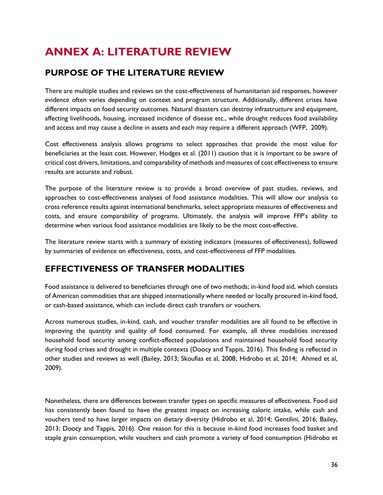# <span id="page-35-0"></span>**ANNEX A: LITERATURE REVIEW**

# **PURPOSE OF THE LITERATURE REVIEW**

There are multiple studies and reviews on the cost-effectiveness of humanitarian aid responses, however evidence often varies depending on context and program structure. Additionally, different crises have different impacts on food security outcomes. Natural disasters can destroy infrastructure and equipment, affecting livelihoods, housing, increased incidence of disease etc., while drought reduces food availability and access and may cause a decline in assets and each may require a different approach (WFP, 2009).

Cost effectiveness analysis allows programs to select approaches that provide the most value for beneficiaries at the least cost. However, Hodges et al. (2011) caution that it is important to be aware of critical cost drivers, limitations, and comparability of methods and measures of cost effectiveness to ensure results are accurate and robust.

The purpose of the literature review is to provide a broad overview of past studies, reviews, and approaches to cost-effectiveness analyses of food assistance modalities. This will allow our analysis to cross reference results against international benchmarks, select appropriate measures of effectiveness and costs, and ensure comparability of programs. Ultimately, the analysis will improve FFP's ability to determine when various food assistance modalities are likely to be the most cost-effective.

The literature review starts with a summary of existing indicators (measures of effectiveness), followed by summaries of evidence on effectiveness, costs, and cost-effectiveness of FFP modalities.

# **EFFECTIVENESS OF TRANSFER MODALITIES**

Food assistance is delivered to beneficiaries through one of two methods; in-kind food aid, which consists of American commodities that are shipped internationally where needed or locally procured in-kind food, or cash-based assistance, which can include direct cash transfers or vouchers.

Across numerous studies, in-kind, cash, and voucher transfer modalities are all found to be effective in improving the quantity and quality of food consumed. For example, all three modalities increased household food security among conflict-affected populations and maintained household food security during food crises and drought in multiple contexts (Doocy and Tappis, 2016). This finding is reflected in other studies and reviews as well (Bailey, 2013; Skoufias et al, 2008; Hidrobo et al, 2014; Ahmed et al, 2009).

Nonetheless, there are differences between transfer types on specific measures of effectiveness. Food aid has consistently been found to have the greatest impact on increasing caloric intake, while cash and vouchers tend to have larger impacts on dietary diversity (Hidrobo et al, 2014; Gentilini, 2016; Bailey, 2013; Doocy and Tappis, 2016). One reason for this is because in-kind food increases food basket and staple grain consumption, while vouchers and cash promote a variety of food consumption (Hidrobo et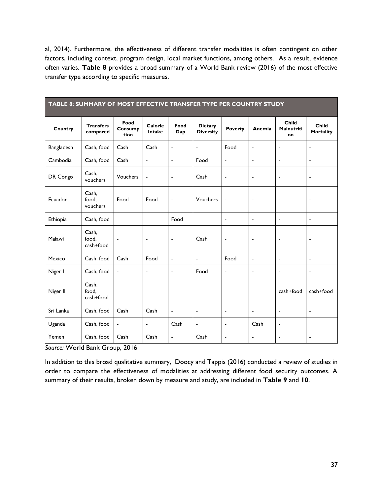al, 2014). Furthermore, the effectiveness of different transfer modalities is often contingent on other factors, including context, program design, local market functions, among others. As a result, evidence often varies. **Table 8** provides a broad summary of a World Bank review (2016) of the most effective transfer type according to specific measures.

<span id="page-36-0"></span>

| TABLE 8: SUMMARY OF MOST EFFECTIVE TRANSFER TYPE PER COUNTRY STUDY |                              |                          |                          |                          |                                    |                          |                          |                                  |                           |
|--------------------------------------------------------------------|------------------------------|--------------------------|--------------------------|--------------------------|------------------------------------|--------------------------|--------------------------|----------------------------------|---------------------------|
| Country                                                            | <b>Transfers</b><br>compared | Food<br>Consump<br>tion  | Calorie<br><b>Intake</b> | Food<br>Gap              | <b>Dietary</b><br><b>Diversity</b> | <b>Poverty</b>           | Anemia                   | Child<br><b>Malnutriti</b><br>on | Child<br><b>Mortality</b> |
| Bangladesh                                                         | Cash, food                   | Cash                     | Cash                     | $\overline{\phantom{a}}$ | $\overline{\phantom{a}}$           | Food                     | $\overline{\phantom{a}}$ | $\overline{\phantom{a}}$         | $\blacksquare$            |
| Cambodia                                                           | Cash, food                   | Cash                     | $\blacksquare$           | $\blacksquare$           | Food                               | ÷,                       | ÷,                       | $\blacksquare$                   | $\blacksquare$            |
| DR Congo                                                           | Cash,<br>vouchers            | Vouchers                 | $\overline{\phantom{a}}$ | $\overline{\phantom{a}}$ | Cash                               | $\overline{\phantom{a}}$ | $\overline{\phantom{a}}$ | $\overline{\phantom{a}}$         | $\blacksquare$            |
| Ecuador                                                            | Cash,<br>food.<br>vouchers   | Food                     | Food                     | $\overline{\phantom{a}}$ | Vouchers                           | Ĭ.                       | ÷                        | $\overline{\phantom{a}}$         | $\blacksquare$            |
| Ethiopia                                                           | Cash, food                   |                          |                          | Food                     |                                    | $\overline{\phantom{a}}$ | ÷,                       | $\blacksquare$                   | $\blacksquare$            |
| Malawi                                                             | Cash,<br>food.<br>cash+food  | $\overline{\phantom{a}}$ | $\overline{\phantom{a}}$ | $\overline{\phantom{a}}$ | Cash                               | ٠                        | $\overline{\phantom{a}}$ | $\overline{\phantom{a}}$         | $\overline{\phantom{a}}$  |
| Mexico                                                             | Cash, food                   | Cash                     | Food                     | $\blacksquare$           | $\overline{a}$                     | Food                     | $\overline{a}$           | $\overline{\phantom{a}}$         | $\blacksquare$            |
| Niger I                                                            | Cash, food                   | $\blacksquare$           | $\overline{a}$           | $\blacksquare$           | Food                               | $\blacksquare$           | ÷,                       | $\blacksquare$                   | $\blacksquare$            |
| Niger II                                                           | Cash,<br>food.<br>cash+food  |                          |                          |                          |                                    |                          |                          | cash+food                        | cash+food                 |
| Sri Lanka                                                          | Cash, food                   | Cash                     | Cash                     | $\overline{\phantom{a}}$ | $\frac{1}{2}$                      | $\overline{\phantom{a}}$ | $\overline{\phantom{a}}$ | $\blacksquare$                   | $\blacksquare$            |
| Uganda                                                             | Cash, food                   | $\overline{\phantom{0}}$ | $\overline{\phantom{0}}$ | Cash                     | $\overline{\phantom{a}}$           | $\overline{\phantom{a}}$ | Cash                     | $\overline{\phantom{a}}$         |                           |
| Yemen                                                              | Cash, food                   | Cash                     | Cash                     | $\blacksquare$           | Cash                               | $\blacksquare$           | $\blacksquare$           | $\blacksquare$                   | $\overline{\phantom{a}}$  |

*Source:* World Bank Group, 2016

In addition to this broad qualitative summary, Doocy and Tappis (2016) conducted a review of studies in order to compare the effectiveness of modalities at addressing different food security outcomes. A summary of their results, broken down by measure and study, are included in **Table 9** and **10**.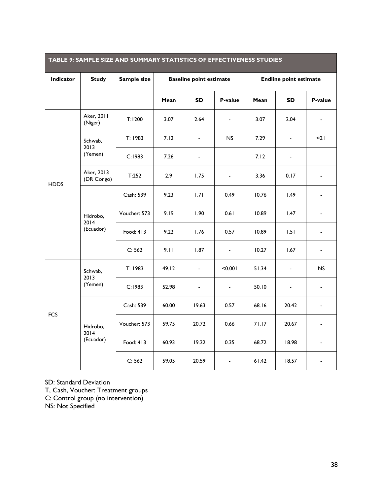| <b>TABLE 9: SAMPLE SIZE AND SUMMARY STATISTICS OF EFFECTIVENESS STUDIES</b> |                               |              |                                |                          |                          |                               |                          |                              |
|-----------------------------------------------------------------------------|-------------------------------|--------------|--------------------------------|--------------------------|--------------------------|-------------------------------|--------------------------|------------------------------|
| <b>Indicator</b>                                                            | <b>Study</b>                  | Sample size  | <b>Baseline point estimate</b> |                          |                          | <b>Endline point estimate</b> |                          |                              |
|                                                                             |                               |              | Mean                           | <b>SD</b>                | P-value                  | Mean                          | <b>SD</b>                | P-value                      |
|                                                                             | Aker, 2011<br>(Niger)         | T:1200       | 3.07                           | 2.64                     | $\overline{\phantom{a}}$ | 3.07                          | 2.04                     | $\overline{a}$               |
|                                                                             | Schwab,<br>2013               | T: 1983      | 7.12                           | $\overline{\phantom{0}}$ | <b>NS</b>                | 7.29                          | $\frac{1}{2}$            | < 0.1                        |
|                                                                             | (Yemen)                       | C:1983       | 7.26                           | $\overline{\phantom{0}}$ |                          | 7.12                          | $\overline{\phantom{a}}$ |                              |
| <b>HDDS</b>                                                                 | Aker, 2013<br>(DR Congo)      | T:252        | 2.9                            | 1.75                     | $\overline{\phantom{a}}$ | 3.36                          | 0.17                     |                              |
|                                                                             | Hidrobo,<br>2014<br>(Ecuador) | Cash: 539    | 9.23                           | 1.71                     | 0.49                     | 10.76                         | 1.49                     |                              |
|                                                                             |                               | Voucher: 573 | 9.19                           | 1.90                     | 0.61                     | 10.89                         | 1.47                     |                              |
|                                                                             |                               | Food: 413    | 9.22                           | 1.76                     | 0.57                     | 10.89                         | 1.51                     | $\overline{\phantom{0}}$     |
|                                                                             |                               | C: 562       | 9.11                           | 1.87                     | $\blacksquare$           | 10.27                         | 1.67                     | $\overline{\phantom{0}}$     |
| <b>FCS</b>                                                                  | Schwab,<br>2013<br>(Yemen)    | T: 1983      | 49.12                          | ٠                        | < 0.001                  | 51.34                         | $\blacksquare$           | N <sub>S</sub>               |
|                                                                             |                               | C:1983       | 52.98                          | $\overline{a}$           | $\overline{a}$           | 50.10                         | $\frac{1}{2}$            |                              |
|                                                                             |                               | Cash: 539    | 60.00                          | 19.63                    | 0.57                     | 68.16                         | 20.42                    |                              |
|                                                                             | Hidrobo,                      | Voucher: 573 | 59.75                          | 20.72                    | 0.66                     | 71.17                         | 20.67                    | $\qquad \qquad \blacksquare$ |
|                                                                             | 2014<br>(Ecuador)             | Food: 413    | 60.93                          | 19.22                    | 0.35                     | 68.72                         | 18.98                    |                              |
|                                                                             |                               | C: 562       | 59.05                          | 20.59                    | $\overline{\phantom{a}}$ | 61.42                         | 18.57                    |                              |

#### <span id="page-37-0"></span>**TABLE 9: SAMPLE SIZE AND SUMMARY STATISTICS OF EFFECTIVENESS STUDIES**

SD: Standard Deviation

T, Cash, Voucher: Treatment groups C: Control group (no intervention)

NS: Not Specified

<u> Tanzania de la contrada de la contrada de la contrada de la contrada de la contrada de la contrada de la con</u>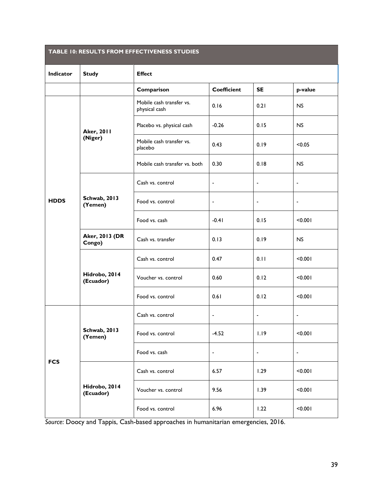<span id="page-38-0"></span>

| TABLE 10: RESULTS FROM EFFECTIVENESS STUDIES |                                 |                                           |                          |                          |                          |  |  |  |
|----------------------------------------------|---------------------------------|-------------------------------------------|--------------------------|--------------------------|--------------------------|--|--|--|
| Indicator                                    | <b>Study</b>                    | <b>Effect</b>                             |                          |                          |                          |  |  |  |
|                                              |                                 | Comparison                                | <b>Coefficient</b>       | <b>SE</b>                | p-value                  |  |  |  |
|                                              |                                 | Mobile cash transfer vs.<br>physical cash | 0.16                     | 0.21                     | <b>NS</b>                |  |  |  |
|                                              | <b>Aker, 2011</b>               | Placebo vs. physical cash                 | $-0.26$                  | 0.15                     | NS                       |  |  |  |
|                                              | (Niger)                         | Mobile cash transfer vs.<br>placebo       | 0.43                     | 0.19                     | < 0.05                   |  |  |  |
|                                              |                                 | Mobile cash transfer vs. both             | 0.30                     | 0.18                     | <b>NS</b>                |  |  |  |
| <b>HDDS</b>                                  |                                 | Cash vs. control                          | $\blacksquare$           | $\blacksquare$           | $\blacksquare$           |  |  |  |
|                                              | <b>Schwab, 2013</b><br>(Yemen)  | Food vs. control                          | $\overline{\phantom{a}}$ | $\overline{\phantom{a}}$ | $\blacksquare$           |  |  |  |
|                                              |                                 | Food vs. cash                             | $-0.41$                  | 0.15                     | < 0.001                  |  |  |  |
|                                              | <b>Aker, 2013 (DR</b><br>Congo) | Cash vs. transfer                         | 0.13                     | 0.19                     | NS                       |  |  |  |
|                                              | Hidrobo, 2014<br>(Ecuador)      | Cash vs. control                          | 0.47                     | 0.11                     | < 0.001                  |  |  |  |
|                                              |                                 | Voucher vs. control                       | 0.60                     | 0.12                     | < 0.001                  |  |  |  |
|                                              |                                 | Food vs. control                          | 0.61                     | 0.12                     | < 0.001                  |  |  |  |
|                                              |                                 | Cash vs. control                          | $\blacksquare$           | $\blacksquare$           | ÷,                       |  |  |  |
|                                              | <b>Schwab, 2013</b><br>(Yemen)  | Food vs. control                          | $-4.52$                  | 1.19                     | < 0.001                  |  |  |  |
| <b>FCS</b>                                   |                                 | Food vs. cash                             | $\blacksquare$           | $\blacksquare$           | $\overline{\phantom{a}}$ |  |  |  |
|                                              |                                 | Cash vs. control                          | 6.57                     | 1.29                     | < 0.001                  |  |  |  |
|                                              | Hidrobo, 2014<br>(Ecuador)      | Voucher vs. control                       | 9.56                     | 1.39                     | < 0.001                  |  |  |  |
|                                              |                                 | Food vs. control                          | 6.96                     | 1.22                     | < 0.001                  |  |  |  |

*Source*: Doocy and Tappis, Cash-based approaches in humanitarian emergencies, 2016.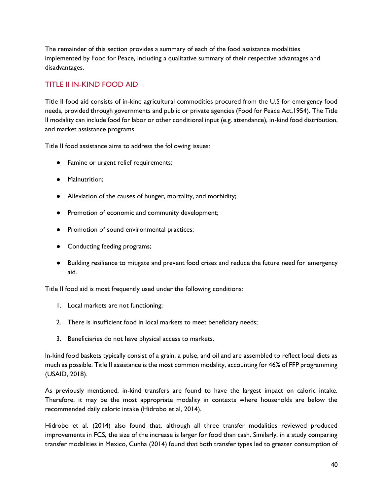The remainder of this section provides a summary of each of the food assistance modalities implemented by Food for Peace, including a qualitative summary of their respective advantages and disadvantages.

### TITLE II IN-KIND FOOD AID

Title II food aid consists of in-kind agricultural commodities procured from the U.S for emergency food needs, provided through governments and public or private agencies (Food for Peace Act,1954). The Title II modality can include food for labor or other conditional input (e.g. attendance), in-kind food distribution, and market assistance programs.

Title II food assistance aims to address the following issues:

- Famine or urgent relief requirements;
- Malnutrition;
- Alleviation of the causes of hunger, mortality, and morbidity;
- Promotion of economic and community development;
- Promotion of sound environmental practices;
- Conducting feeding programs;
- Building resilience to mitigate and prevent food crises and reduce the future need for emergency aid.

Title II food aid is most frequently used under the following conditions:

- 1. Local markets are not functioning;
- 2. There is insufficient food in local markets to meet beneficiary needs;
- 3. Beneficiaries do not have physical access to markets.

In-kind food baskets typically consist of a grain, a pulse, and oil and are assembled to reflect local diets as much as possible. Title II assistance is the most common modality, accounting for 46% of FFP programming (USAID, 2018).

As previously mentioned, in-kind transfers are found to have the largest impact on caloric intake. Therefore, it may be the most appropriate modality in contexts where households are below the recommended daily caloric intake (Hidrobo et al, 2014).

Hidrobo et al. (2014) also found that, although all three transfer modalities reviewed produced improvements in FCS, the size of the increase is larger for food than cash. Similarly, in a study comparing transfer modalities in Mexico, Cunha (2014) found that both transfer types led to greater consumption of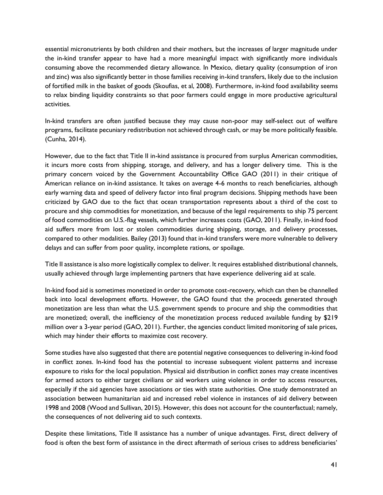essential micronutrients by both children and their mothers, but the increases of larger magnitude under the in-kind transfer appear to have had a more meaningful impact with significantly more individuals consuming above the recommended dietary allowance. In Mexico, dietary quality (consumption of iron and zinc) was also significantly better in those families receiving in-kind transfers, likely due to the inclusion of fortified milk in the basket of goods (Skoufias, et al, 2008). Furthermore, in-kind food availability seems to relax binding liquidity constraints so that poor farmers could engage in more productive agricultural activities.

In-kind transfers are often justified because they may cause non-poor may self-select out of welfare programs, facilitate pecuniary redistribution not achieved through cash, or may be more politically feasible. (Cunha, 2014).

However, due to the fact that Title II in-kind assistance is procured from surplus American commodities, it incurs more costs from shipping, storage, and delivery, and has a longer delivery time. This is the primary concern voiced by the Government Accountability Office GAO (2011) in their critique of American reliance on in-kind assistance. It takes on average 4-6 months to reach beneficiaries, although early warning data and speed of delivery factor into final program decisions. Shipping methods have been criticized by GAO due to the fact that ocean transportation represents about a third of the cost to procure and ship commodities for monetization, and because of the legal requirements to ship 75 percent of food commodities on U.S.-flag vessels, which further increases costs (GAO, 2011). Finally, in-kind food aid suffers more from lost or stolen commodities during shipping, storage, and delivery processes, compared to other modalities. Bailey (2013) found that in-kind transfers were more vulnerable to delivery delays and can suffer from poor quality, incomplete rations, or spoilage.

Title II assistance is also more logistically complex to deliver. It requires established distributional channels, usually achieved through large implementing partners that have experience delivering aid at scale.

In-kind food aid is sometimes monetized in order to promote cost-recovery, which can then be channelled back into local development efforts. However, the GAO found that the proceeds generated through monetization are less than what the U.S. government spends to procure and ship the commodities that are monetized; overall, the inefficiency of the monetization process reduced available funding by \$219 million over a 3-year period (GAO, 2011). Further, the agencies conduct limited monitoring of sale prices, which may hinder their efforts to maximize cost recovery.

Some studies have also suggested that there are potential negative consequences to delivering in-kind food in conflict zones. In-kind food has the potential to increase subsequent violent patterns and increase exposure to risks for the local population. Physical aid distribution in conflict zones may create incentives for armed actors to either target civilians or aid workers using violence in order to access resources, especially if the aid agencies have associations or ties with state authorities. One study demonstrated an association between humanitarian aid and increased rebel violence in instances of aid delivery between 1998 and 2008 (Wood and Sullivan, 2015). However, this does not account for the counterfactual; namely, the consequences of not delivering aid to such contexts.

Despite these limitations, Title II assistance has a number of unique advantages. First, direct delivery of food is often the best form of assistance in the direct aftermath of serious crises to address beneficiaries'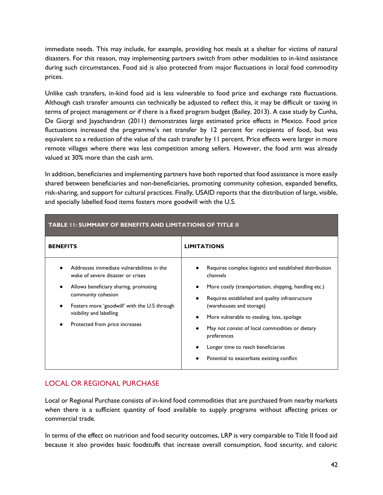immediate needs. This may include, for example, providing hot meals at a shelter for victims of natural disasters. For this reason, may implementing partners switch from other modalities to in-kind assistance during such circumstances. Food aid is also protected from major fluctuations in local food commodity prices.

Unlike cash transfers, in-kind food aid is less vulnerable to food price and exchange rate fluctuations. Although cash transfer amounts can technically be adjusted to reflect this, it may be difficult or taxing in terms of project management or if there is a fixed program budget (Bailey, 2013). A case study by Cunha, De Giorgi and Jayachandran (2011) demonstrates large estimated price effects in Mexico. Food price fluctuations increased the programme's net transfer by 12 percent for recipients of food, but was equivalent to a reduction of the value of the cash transfer by 11 percent. Price effects were larger in more remote villages where there was less competition among sellers. However, the food arm was already valued at 30% more than the cash arm.

In addition, beneficiaries and implementing partners have both reported that food assistance is more easily shared between beneficiaries and non-beneficiaries, promoting community cohesion, expanded benefits, risk-sharing, and support for cultural practices. Finally, USAID reports that the distribution of large, visible, and specially labelled food items fosters more goodwill with the U.S.

<span id="page-41-0"></span>

| TABLE I I: SUMMARY OF BENEFITS AND LIMITATIONS OF TITLE II                                                                                                                |                                                                                                                                                                                                                                                                                                       |
|---------------------------------------------------------------------------------------------------------------------------------------------------------------------------|-------------------------------------------------------------------------------------------------------------------------------------------------------------------------------------------------------------------------------------------------------------------------------------------------------|
| <b>BENEFITS</b>                                                                                                                                                           | <b>LIMITATIONS</b>                                                                                                                                                                                                                                                                                    |
| Addresses immediate vulnerabilities in the<br>wake of severe disaster or crises                                                                                           | Requires complex logistics and established distribution<br>channels                                                                                                                                                                                                                                   |
| Allows beneficiary sharing, promoting<br>community cohesion<br>Fosters more 'goodwill' with the U.S through<br>visibility and labelling<br>Protected from price increases | More costly (transportation, shipping, handling etc.)<br>٠<br>Requires established and quality infrastructure<br>(warehouses and storage)<br>More vulnerable to stealing, loss, spoilage<br>٠<br>May not consist of local commodities or dietary<br>preferences<br>Longer time to reach beneficiaries |
|                                                                                                                                                                           | Potential to exacerbate existing conflict                                                                                                                                                                                                                                                             |

### LOCAL OR REGIONAL PURCHASE

Local or Regional Purchase consists of in-kind food commodities that are purchased from nearby markets when there is a sufficient quantity of food available to supply programs without affecting prices or commercial trade.

In terms of the effect on nutrition and food security outcomes, LRP is very comparable to Title II food aid because it also provides basic foodstuffs that increase overall consumption, food security, and caloric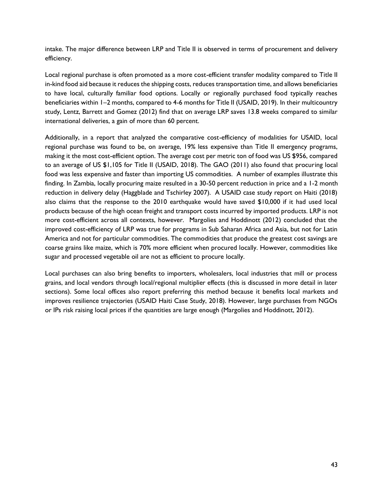intake. The major difference between LRP and Title II is observed in terms of procurement and delivery efficiency.

Local regional purchase is often promoted as a more cost-efficient transfer modality compared to Title II in-kind food aid because it reduces the shipping costs, reduces transportation time, and allows beneficiaries to have local, culturally familiar food options. Locally or regionally purchased food typically reaches beneficiaries within 1–2 months, compared to 4-6 months for Title II (USAID, 2019). In their multicountry study, Lentz, Barrett and Gomez (2012) find that on average LRP saves 13.8 weeks compared to similar international deliveries, a gain of more than 60 percent.

Additionally, in a report that analyzed the comparative cost-efficiency of modalities for USAID, local regional purchase was found to be, on average, 19% less expensive than Title II emergency programs, making it the most cost-efficient option. The average cost per metric ton of food was US \$956, compared to an average of US \$1,105 for Title II (USAID, 2018). The GAO (2011) also found that procuring local food was less expensive and faster than importing US commodities. A number of examples illustrate this finding. In Zambia, locally procuring maize resulted in a 30-50 percent reduction in price and a 1-2 month reduction in delivery delay (Haggblade and Tschirley 2007). A USAID case study report on Haiti (2018) also claims that the response to the 2010 earthquake would have saved \$10,000 if it had used local products because of the high ocean freight and transport costs incurred by imported products. LRP is not more cost-efficient across all contexts, however. Margolies and Hoddinott (2012) concluded that the improved cost-efficiency of LRP was true for programs in Sub Saharan Africa and Asia, but not for Latin America and not for particular commodities. The commodities that produce the greatest cost savings are coarse grains like maize, which is 70% more efficient when procured locally. However, commodities like sugar and processed vegetable oil are not as efficient to procure locally.

Local purchases can also bring benefits to importers, wholesalers, local industries that mill or process grains, and local vendors through local/regional multiplier effects (this is discussed in more detail in later sections). Some local offices also report preferring this method because it benefits local markets and improves resilience trajectories (USAID Haiti Case Study, 2018). However, large purchases from NGOs or IPs risk raising local prices if the quantities are large enough (Margolies and Hoddinott, 2012).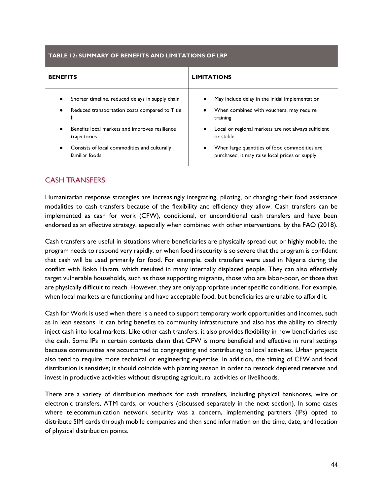<span id="page-43-0"></span>

| TABLE 12: SUMMARY OF BENEFITS AND LIMITATIONS OF LRP                                                    |                                                                                                              |  |  |  |  |
|---------------------------------------------------------------------------------------------------------|--------------------------------------------------------------------------------------------------------------|--|--|--|--|
| <b>BENEFITS</b>                                                                                         | <b>LIMITATIONS</b>                                                                                           |  |  |  |  |
| Shorter timeline, reduced delays in supply chain<br>Reduced transportation costs compared to Title<br>Ш | May include delay in the initial implementation<br>When combined with vouchers, may require<br>٠<br>training |  |  |  |  |
| Benefits local markets and improves resilience<br>trajectories                                          | Local or regional markets are not always sufficient<br>$\bullet$<br>or stable                                |  |  |  |  |
| Consists of local commodities and culturally<br>familiar foods                                          | When large quantities of food commodities are<br>$\bullet$<br>purchased, it may raise local prices or supply |  |  |  |  |

### CASH TRANSFERS

Humanitarian response strategies are increasingly integrating, piloting, or changing their food assistance modalities to cash transfers because of the flexibility and efficiency they allow. Cash transfers can be implemented as cash for work (CFW), conditional, or unconditional cash transfers and have been endorsed as an effective strategy, especially when combined with other interventions, by the FAO (2018).

Cash transfers are useful in situations where beneficiaries are physically spread out or highly mobile, the program needs to respond very rapidly, or when food insecurity is so severe that the program is confident that cash will be used primarily for food. For example, cash transfers were used in Nigeria during the conflict with Boko Haram, which resulted in many internally displaced people. They can also effectively target vulnerable households, such as those supporting migrants, those who are labor-poor, or those that are physically difficult to reach. However, they are only appropriate under specific conditions. For example, when local markets are functioning and have acceptable food, but beneficiaries are unable to afford it.

Cash for Work is used when there is a need to support temporary work opportunities and incomes, such as in lean seasons. It can bring benefits to community infrastructure and also has the ability to directly inject cash into local markets. Like other cash transfers, it also provides flexibility in how beneficiaries use the cash. Some IPs in certain contexts claim that CFW is more beneficial and effective in rural settings because communities are accustomed to congregating and contributing to local activities. Urban projects also tend to require more technical or engineering expertise. In addition, the timing of CFW and food distribution is sensitive; it should coincide with planting season in order to restock depleted reserves and invest in productive activities without disrupting agricultural activities or livelihoods.

There are a variety of distribution methods for cash transfers, including physical banknotes, wire or electronic transfers, ATM cards, or vouchers (discussed separately in the next section). In some cases where telecommunication network security was a concern, implementing partners (IPs) opted to distribute SIM cards through mobile companies and then send information on the time, date, and location of physical distribution points.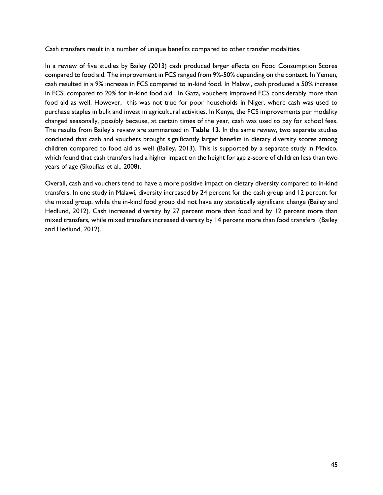Cash transfers result in a number of unique benefits compared to other transfer modalities.

In a review of five studies by Bailey (2013) cash produced larger effects on Food Consumption Scores compared to food aid. The improvement in FCS ranged from 9%-50% depending on the context. In Yemen, cash resulted in a 9% increase in FCS compared to in-kind food. In Malawi, cash produced a 50% increase in FCS, compared to 20% for in-kind food aid. In Gaza, vouchers improved FCS considerably more than food aid as well. However, this was not true for poor households in Niger, where cash was used to purchase staples in bulk and invest in agricultural activities. In Kenya, the FCS improvements per modality changed seasonally, possibly because, at certain times of the year, cash was used to pay for school fees. The results from Bailey's review are summarized in **Table 13**. In the same review, two separate studies concluded that cash and vouchers brought significantly larger benefits in dietary diversity scores among children compared to food aid as well (Bailey, 2013). This is supported by a separate study in Mexico, which found that cash transfers had a higher impact on the height for age z-score of children less than two years of age (Skoufias et al., 2008).

Overall, cash and vouchers tend to have a more positive impact on dietary diversity compared to in-kind transfers. In one study in Malawi, diversity increased by 24 percent for the cash group and 12 percent for the mixed group, while the in-kind food group did not have any statistically significant change (Bailey and Hedlund, 2012). Cash increased diversity by 27 percent more than food and by 12 percent more than mixed transfers, while mixed transfers increased diversity by 14 percent more than food transfers (Bailey and Hedlund, 2012).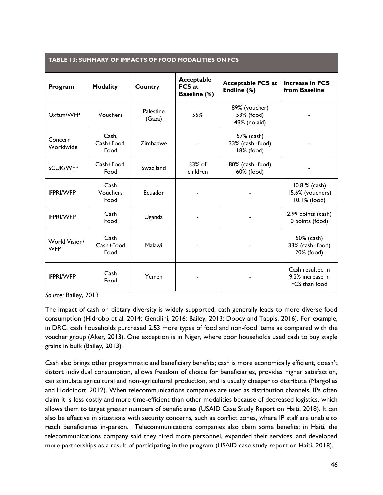<span id="page-45-0"></span>

| <b>TABLE 13: SUMMARY OF IMPACTS OF FOOD MODALITIES ON FCS</b> |                             |                     |                                                    |                                             |                                                       |
|---------------------------------------------------------------|-----------------------------|---------------------|----------------------------------------------------|---------------------------------------------|-------------------------------------------------------|
| Program                                                       | <b>Modality</b>             | Country             | Acceptable<br><b>FCS at</b><br><b>Baseline (%)</b> | <b>Acceptable FCS at</b><br>Endline (%)     | <b>Increase in FCS</b><br>from Baseline               |
| Oxfam/WFP                                                     | Vouchers                    | Palestine<br>(Gaza) | 55%                                                | 89% (voucher)<br>53% (food)<br>49% (no aid) |                                                       |
| Concern<br>Worldwide                                          | Cash,<br>Cash+Food,<br>Food | Zimbabwe            |                                                    | 57% (cash)<br>33% (cash+food)<br>18% (food) |                                                       |
| <b>SCUK/WFP</b>                                               | Cash+Food,<br>Food          | Swaziland           | $33\%$ of<br>children                              | 80% (cash+food)<br>60% (food)               |                                                       |
| <b>IFPRI/WFP</b>                                              | Cash<br>Vouchers<br>Food    | Ecuador             |                                                    |                                             | 10.8 % (cash)<br>15.6% (vouchers)<br>10.1% (food)     |
| <b>IFPRI/WFP</b>                                              | Cash<br>Food                | Uganda              |                                                    |                                             | 2.99 points (cash)<br>0 points (food)                 |
| World Vision/<br><b>WFP</b>                                   | Cash<br>Cash+Food<br>Food   | Malawi              |                                                    |                                             | 50% (cash)<br>33% (cash+food)<br>20% (food)           |
| <b>IFPRI/WFP</b>                                              | Cash<br>Food                | Yemen               |                                                    |                                             | Cash resulted in<br>9.2% increase in<br>FCS than food |

*Source:* Bailey, 2013

The impact of cash on dietary diversity is widely supported; cash generally leads to more diverse food consumption (Hidrobo et al, 2014; Gentilini, 2016; Bailey, 2013; Doocy and Tappis, 2016). For example, in DRC, cash households purchased 2.53 more types of food and non-food items as compared with the voucher group (Aker, 2013). One exception is in Niger, where poor households used cash to buy staple grains in bulk (Bailey, 2013).

Cash also brings other programmatic and beneficiary benefits; cash is more economically efficient, doesn't distort individual consumption, allows freedom of choice for beneficiaries, provides higher satisfaction, can stimulate agricultural and non-agricultural production, and is usually cheaper to distribute (Margolies and Hoddinott, 2012). When telecommunications companies are used as distribution channels, IPs often claim it is less costly and more time-efficient than other modalities because of decreased logistics, which allows them to target greater numbers of beneficiaries (USAID Case Study Report on Haiti, 2018). It can also be effective in situations with security concerns, such as conflict zones, where IP staff are unable to reach beneficiaries in-person. Telecommunications companies also claim some benefits; in Haiti, the telecommunications company said they hired more personnel, expanded their services, and developed more partnerships as a result of participating in the program (USAID case study report on Haiti, 2018).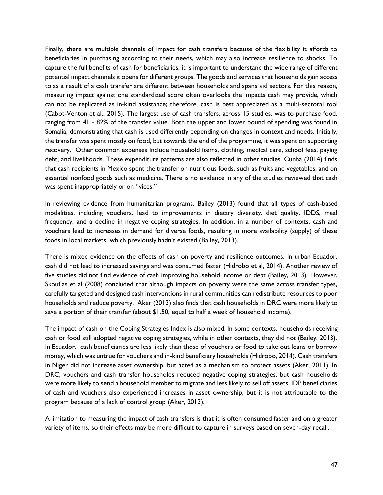Finally, there are multiple channels of impact for cash transfers because of the flexibility it affords to beneficiaries in purchasing according to their needs, which may also increase resilience to shocks. To capture the full benefits of cash for beneficiaries, it is important to understand the wide range of different potential impact channels it opens for different groups. The goods and services that households gain access to as a result of a cash transfer are different between households and spans aid sectors. For this reason, measuring impact against one standardized score often overlooks the impacts cash may provide, which can not be replicated as in-kind assistance; therefore, cash is best appreciated as a multi-sectoral tool (Cabot-Venton et al., 2015). The largest use of cash transfers, across 15 studies, was to purchase food, ranging from 41 - 82% of the transfer value. Both the upper and lower bound of spending was found in Somalia, demonstrating that cash is used differently depending on changes in context and needs. Initially, the transfer was spent mostly on food, but towards the end of the programme, it was spent on supporting recovery. Other common expenses include household items, clothing, medical care, school fees, paying debt, and livelihoods. These expenditure patterns are also reflected in other studies. Cunha (2014) finds that cash recipients in Mexico spent the transfer on nutritious foods, such as fruits and vegetables, and on essential nonfood goods such as medicine. There is no evidence in any of the studies reviewed that cash was spent inappropriately or on "vices."

In reviewing evidence from humanitarian programs, Bailey (2013) found that all types of cash-based modalities, including vouchers, lead to improvements in dietary diversity, diet quality, IDDS, meal frequency, and a decline in negative coping strategies. In addition, in a number of contexts, cash and vouchers lead to increases in demand for diverse foods, resulting in more availability (supply) of these foods in local markets, which previously hadn't existed (Bailey, 2013).

There is mixed evidence on the effects of cash on poverty and resilience outcomes. In urban Ecuador, cash did not lead to increased savings and was consumed faster (Hidrobo et al, 2014). Another review of five studies did not find evidence of cash improving household income or debt (Bailey, 2013). However, Skoufias et al (2008) concluded that although impacts on poverty were the same across transfer types, carefully targeted and designed cash interventions in rural communities can redistribute resources to poor households and reduce poverty. Aker (2013) also finds that cash households in DRC were more likely to save a portion of their transfer (about \$1.50, equal to half a week of household income).

The impact of cash on the Coping Strategies Index is also mixed. In some contexts, households receiving cash or food still adopted negative coping strategies, while in other contexts, they did not (Bailey, 2013). In Ecuador, cash beneficiaries are less likely than those of vouchers or food to take out loans or borrow money, which was untrue for vouchers and in-kind beneficiary households (Hidrobo, 2014). Cash transfers in Niger did not increase asset ownership, but acted as a mechanism to protect assets (Aker, 2011). In DRC, vouchers and cash transfer households reduced negative coping strategies, but cash households were more likely to send a household member to migrate and less likely to sell off assets. IDP beneficiaries of cash and vouchers also experienced increases in asset ownership, but it is not attributable to the program because of a lack of control group (Aker, 2013).

A limitation to measuring the impact of cash transfers is that it is often consumed faster and on a greater variety of items, so their effects may be more difficult to capture in surveys based on seven-day recall.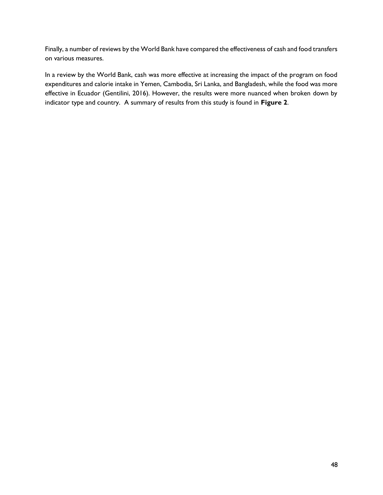Finally, a number of reviews by the World Bank have compared the effectiveness of cash and food transfers on various measures.

In a review by the World Bank, cash was more effective at increasing the impact of the program on food expenditures and calorie intake in Yemen, Cambodia, Sri Lanka, and Bangladesh, while the food was more effective in Ecuador (Gentilini, 2016). However, the results were more nuanced when broken down by indicator type and country. A summary of results from this study is found in **Figure 2**.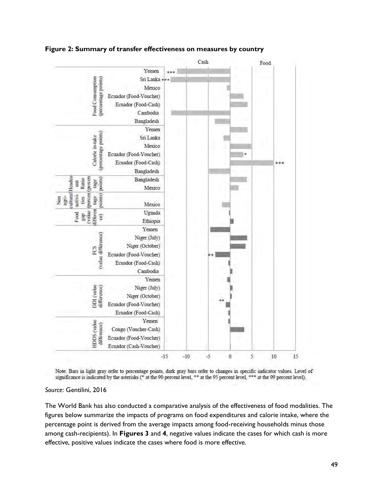

<span id="page-48-0"></span>**Figure 2: Summary of transfer effectiveness on measures by country**

Note: Bars in light gray refer to percentage points, dark gray bars refer to changes in specific indicator values. Level of significance is indicated by the asterisks (\* at the 90 percent level, \*\* at the 95 percent level, \*\*\* at the 99 percent level).

#### *Source*: Gentilini, 2016

The World Bank has also conducted a comparative analysis of the effectiveness of food modalities. The figures below summarize the impacts of programs on food expenditures and calorie intake, where the percentage point is derived from the average impacts among food-receiving households minus those among cash-recipients). In **Figures 3** and **4**, negative values indicate the cases for which cash is more effective, positive values indicate the cases where food is more effective.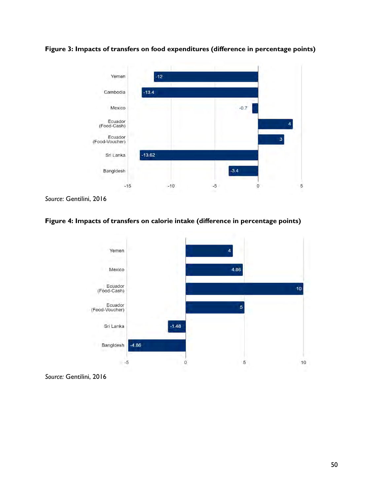

<span id="page-49-0"></span>**Figure 3: Impacts of transfers on food expenditures (difference in percentage points)**

### <span id="page-49-1"></span>**Figure 4: Impacts of transfers on calorie intake (difference in percentage points)**



*Source:* Gentilini, 2016

*Source*: Gentilini, 2016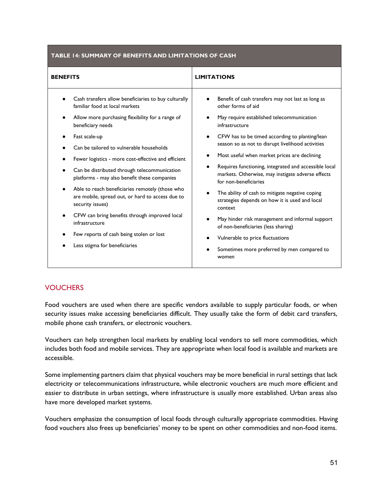#### <span id="page-50-0"></span>**TABLE 14: SUMMARY OF BENEFITS AND LIMITATIONS OF CASH**

| <b>BENEFITS</b>                                                                                                                                                                                                                                                                                                                                                                                                                                                                                                                                                                                                               | <b>LIMITATIONS</b>                                                                                                                                                                                                                                                                                                                                                                                                                                                                                                                                                                                                                                                                              |
|-------------------------------------------------------------------------------------------------------------------------------------------------------------------------------------------------------------------------------------------------------------------------------------------------------------------------------------------------------------------------------------------------------------------------------------------------------------------------------------------------------------------------------------------------------------------------------------------------------------------------------|-------------------------------------------------------------------------------------------------------------------------------------------------------------------------------------------------------------------------------------------------------------------------------------------------------------------------------------------------------------------------------------------------------------------------------------------------------------------------------------------------------------------------------------------------------------------------------------------------------------------------------------------------------------------------------------------------|
| Cash transfers allow beneficiaries to buy culturally<br>familiar food at local markets<br>Allow more purchasing flexibility for a range of<br>beneficiary needs<br>Fast scale-up<br>Can be tailored to vulnerable households<br>Fewer logistics - more cost-effective and efficient<br>Can be distributed through telecommunication<br>platforms - may also benefit these companies<br>Able to reach beneficiaries remotely (those who<br>are mobile, spread out, or hard to access due to<br>security issues)<br>CFW can bring benefits through improved local<br>infrastructure<br>Few reports of cash being stolen or lost | Benefit of cash transfers may not last as long as<br>other forms of aid<br>May require established telecommunication<br>infrastructure<br>CFW has to be timed according to planting/lean<br>$\bullet$<br>season so as not to disrupt livelihood activities<br>Most useful when market prices are declining<br>Requires functioning, integrated and accessible local<br>markets. Otherwise, may instigate adverse effects<br>for non-beneficiaries<br>The ability of cash to mitigate negative coping<br>strategies depends on how it is used and local<br>context<br>May hinder risk management and informal support<br>of non-beneficiaries (less sharing)<br>Vulnerable to price fluctuations |
| Less stigma for beneficiaries                                                                                                                                                                                                                                                                                                                                                                                                                                                                                                                                                                                                 | Sometimes more preferred by men compared to<br>women                                                                                                                                                                                                                                                                                                                                                                                                                                                                                                                                                                                                                                            |

#### **VOUCHERS**

Food vouchers are used when there are specific vendors available to supply particular foods, or when security issues make accessing beneficiaries difficult. They usually take the form of debit card transfers, mobile phone cash transfers, or electronic vouchers.

Vouchers can help strengthen local markets by enabling local vendors to sell more commodities, which includes both food and mobile services. They are appropriate when local food is available and markets are accessible.

Some implementing partners claim that physical vouchers may be more beneficial in rural settings that lack electricity or telecommunications infrastructure, while electronic vouchers are much more efficient and easier to distribute in urban settings, where infrastructure is usually more established. Urban areas also have more developed market systems.

Vouchers emphasize the consumption of local foods through culturally appropriate commodities. Having food vouchers also frees up beneficiaries' money to be spent on other commodities and non-food items.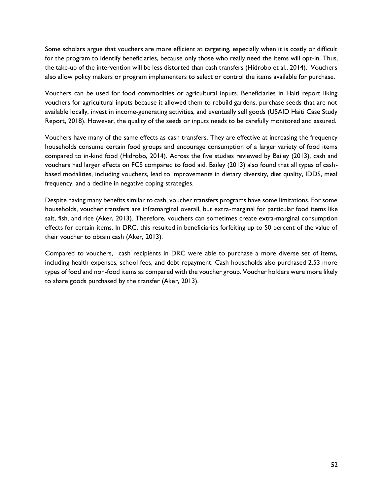Some scholars argue that vouchers are more efficient at targeting, especially when it is costly or difficult for the program to identify beneficiaries, because only those who really need the items will opt-in. Thus, the take-up of the intervention will be less distorted than cash transfers (Hidrobo et al., 2014). Vouchers also allow policy makers or program implementers to select or control the items available for purchase.

Vouchers can be used for food commodities or agricultural inputs. Beneficiaries in Haiti report liking vouchers for agricultural inputs because it allowed them to rebuild gardens, purchase seeds that are not available locally, invest in income-generating activities, and eventually sell goods (USAID Haiti Case Study Report, 2018). However, the quality of the seeds or inputs needs to be carefully monitored and assured.

Vouchers have many of the same effects as cash transfers. They are effective at increasing the frequency households consume certain food groups and encourage consumption of a larger variety of food items compared to in-kind food (Hidrobo, 2014). Across the five studies reviewed by Bailey (2013), cash and vouchers had larger effects on FCS compared to food aid. Bailey (2013) also found that all types of cashbased modalities, including vouchers, lead to improvements in dietary diversity, diet quality, IDDS, meal frequency, and a decline in negative coping strategies.

Despite having many benefits similar to cash, voucher transfers programs have some limitations. For some households, voucher transfers are inframarginal overall, but extra-marginal for particular food items like salt, fish, and rice (Aker, 2013). Therefore, vouchers can sometimes create extra-marginal consumption effects for certain items. In DRC, this resulted in beneficiaries forfeiting up to 50 percent of the value of their voucher to obtain cash (Aker, 2013).

Compared to vouchers, cash recipients in DRC were able to purchase a more diverse set of items, including health expenses, school fees, and debt repayment. Cash households also purchased 2.53 more types of food and non-food items as compared with the voucher group. Voucher holders were more likely to share goods purchased by the transfer (Aker, 2013).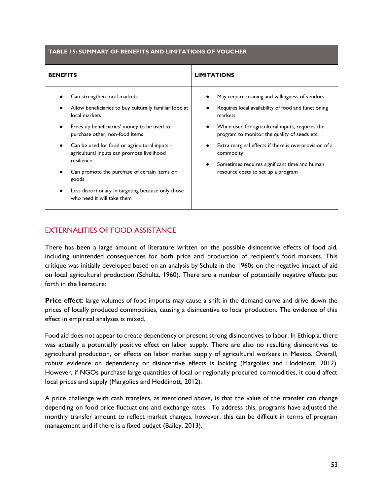<span id="page-52-0"></span>

| TABLE 15: SUMMARY OF BENEFITS AND LIMITATIONS OF VOUCHER |
|----------------------------------------------------------|
|----------------------------------------------------------|

| <b>BENEFITS</b>                                                                                                                                                                                                                                                                                                                                                                                                                                    | <b>LIMITATIONS</b>                                                                                                                                                                                                                                                                                                                                                                |
|----------------------------------------------------------------------------------------------------------------------------------------------------------------------------------------------------------------------------------------------------------------------------------------------------------------------------------------------------------------------------------------------------------------------------------------------------|-----------------------------------------------------------------------------------------------------------------------------------------------------------------------------------------------------------------------------------------------------------------------------------------------------------------------------------------------------------------------------------|
| Can strengthen local markets<br>Allow beneficiaries to buy culturally familiar food at<br>local markets<br>Frees up beneficiaries' money to be used to<br>purchase other, non-food items<br>Can be used for food or agricultural inputs -<br>agricultural inputs can promote livelihood<br>resilience<br>Can promote the purchase of certain items or<br>goods<br>Less distortionary in targeting because only those<br>who need it will take them | May require training and willingness of vendors<br>Requires local availability of food and functioning<br>markets<br>When used for agricultural inputs, requires the<br>program to monitor the quality of seeds etc.<br>Extra-marginal effects if there is overprovision of a<br>commodity<br>Sometimes requires significant time and human<br>resource costs to set up a program |

### EXTERNALITIES OF FOOD ASSISTANCE

There has been a large amount of literature written on the possible disincentive effects of food aid, including unintended consequences for both price and production of recipient's food markets. This critique was initially developed based on an analysis by Schulz in the 1960s on the negative impact of aid on local agricultural production (Schultz, 1960). There are a number of potentially negative effects put forth in the literature:

**Price effect**: large volumes of food imports may cause a shift in the demand curve and drive down the prices of locally produced commodities, causing a disincentive to local production. The evidence of this effect in empirical analyses is mixed.

Food aid does not appear to create dependency or present strong disincentives to labor. In Ethiopia, there was actually a potentially positive effect on labor supply. There are also no resulting disincentives to agricultural production, or effects on labor market supply of agricultural workers in Mexico. Overall, robust evidence on dependency or disincentive effects is lacking (Margolies and Hoddinott, 2012). However, if NGOs purchase large quantities of local or regionally procured commodities, it could affect local prices and supply (Margolies and Hoddinott, 2012).

A price challenge with cash transfers, as mentioned above, is that the value of the transfer can change depending on food price fluctuations and exchange rates. To address this, programs have adjusted the monthly transfer amount to reflect market changes, however, this can be difficult in terms of program management and if there is a fixed budget (Bailey, 2013).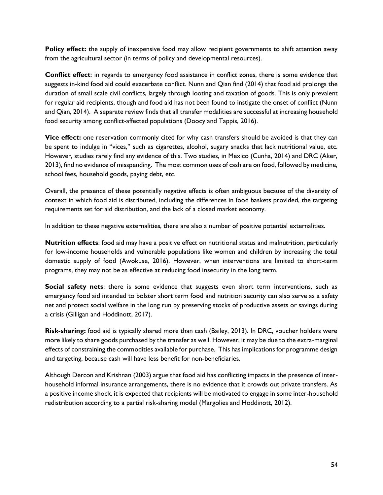**Policy effect:** the supply of inexpensive food may allow recipient governments to shift attention away from the agricultural sector (in terms of policy and developmental resources).

**Conflict effect**: in regards to emergency food assistance in conflict zones, there is some evidence that suggests in-kind food aid could exacerbate conflict. Nunn and Qian find (2014) that food aid prolongs the duration of small scale civil conflicts, largely through looting and taxation of goods. This is only prevalent for regular aid recipients, though and food aid has not been found to instigate the onset of conflict (Nunn and Qian, 2014). A separate review finds that all transfer modalities are successful at increasing household food security among conflict-affected populations (Doocy and Tappis, 2016).

**Vice effect:** one reservation commonly cited for why cash transfers should be avoided is that they can be spent to indulge in "vices," such as cigarettes, alcohol, sugary snacks that lack nutritional value, etc. However, studies rarely find any evidence of this. Two studies, in Mexico (Cunha, 2014) and DRC (Aker, 2013), find no evidence of misspending. The most common uses of cash are on food, followed by medicine, school fees, household goods, paying debt, etc.

Overall, the presence of these potentially negative effects is often ambiguous because of the diversity of context in which food aid is distributed, including the differences in food baskets provided, the targeting requirements set for aid distribution, and the lack of a closed market economy.

In addition to these negative externalities, there are also a number of positive potential externalities.

**Nutrition effects**: food aid may have a positive effect on nutritional status and malnutrition, particularly for low-income households and vulnerable populations like women and children by increasing the total domestic supply of food (Awokuse, 2016). However, when interventions are limited to short-term programs, they may not be as effective at reducing food insecurity in the long term.

**Social safety nets**: there is some evidence that suggests even short term interventions, such as emergency food aid intended to bolster short term food and nutrition security can also serve as a safety net and protect social welfare in the long run by preserving stocks of productive assets or savings during a crisis (Gilligan and Hoddinott, 2017).

**Risk-sharing:** food aid is typically shared more than cash (Bailey, 2013). In DRC, voucher holders were more likely to share goods purchased by the transfer as well. However, it may be due to the extra-marginal effects of constraining the commodities available for purchase. This has implications for programme design and targeting, because cash will have less benefit for non-beneficiaries.

Although Dercon and Krishnan (2003) argue that food aid has conflicting impacts in the presence of interhousehold informal insurance arrangements, there is no evidence that it crowds out private transfers. As a positive income shock, it is expected that recipients will be motivated to engage in some inter-household redistribution according to a partial risk-sharing model (Margolies and Hoddinott, 2012).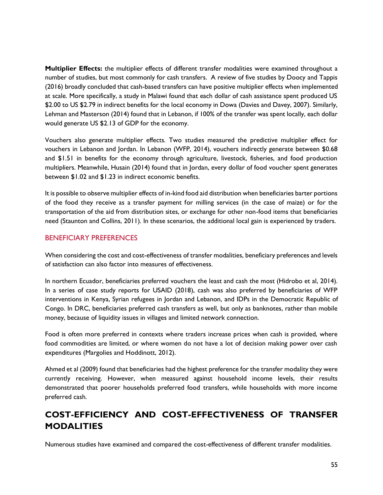**Multiplier Effects:** the multiplier effects of different transfer modalities were examined throughout a number of studies, but most commonly for cash transfers. A review of five studies by Doocy and Tappis (2016) broadly concluded that cash-based transfers can have positive multiplier effects when implemented at scale. More specifically, a study in Malawi found that each dollar of cash assistance spent produced US \$2.00 to US \$2.79 in indirect benefits for the local economy in Dowa (Davies and Davey, 2007). Similarly, Lehman and Masterson (2014) found that in Lebanon, if 100% of the transfer was spent locally, each dollar would generate US \$2.13 of GDP for the economy.

Vouchers also generate multiplier effects. Two studies measured the predictive multiplier effect for vouchers in Lebanon and Jordan. In Lebanon (WFP, 2014), vouchers indirectly generate between \$0.68 and \$1.51 in benefits for the economy through agriculture, livestock, fisheries, and food production multipliers. Meanwhile, Husain (2014) found that in Jordan, every dollar of food voucher spent generates between \$1.02 and \$1.23 in indirect economic benefits.

It is possible to observe multiplier effects of in-kind food aid distribution when beneficiaries barter portions of the food they receive as a transfer payment for milling services (in the case of maize) or for the transportation of the aid from distribution sites, or exchange for other non-food items that beneficiaries need (Staunton and Collins, 2011). In these scenarios, the additional local gain is experienced by traders.

#### BENEFICIARY PREFERENCES

When considering the cost and cost-effectiveness of transfer modalities, beneficiary preferences and levels of satisfaction can also factor into measures of effectiveness.

In northern Ecuador, beneficiaries preferred vouchers the least and cash the most (Hidrobo et al, 2014). In a series of case study reports for USAID (2018), cash was also preferred by beneficiaries of WFP interventions in Kenya, Syrian refugees in Jordan and Lebanon, and IDPs in the Democratic Republic of Congo. In DRC, beneficiaries preferred cash transfers as well, but only as banknotes, rather than mobile money, because of liquidity issues in villages and limited network connection.

Food is often more preferred in contexts where traders increase prices when cash is provided, where food commodities are limited, or where women do not have a lot of decision making power over cash expenditures (Margolies and Hoddinott, 2012).

Ahmed et al (2009) found that beneficiaries had the highest preference for the transfer modality they were currently receiving. However, when measured against household income levels, their results demonstrated that poorer households preferred food transfers, while households with more income preferred cash.

# **COST-EFFICIENCY AND COST-EFFECTIVENESS OF TRANSFER MODALITIES**

Numerous studies have examined and compared the cost-effectiveness of different transfer modalities.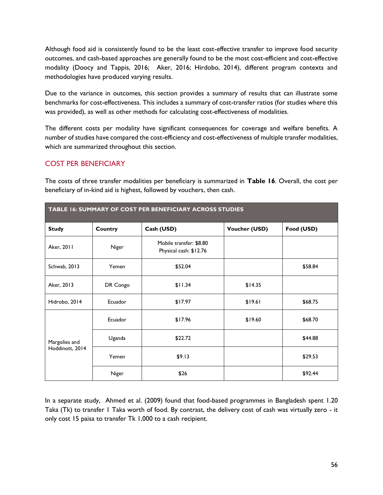Although food aid is consistently found to be the least cost-effective transfer to improve food security outcomes, and cash-based approaches are generally found to be the most cost-efficient and cost-effective modality (Doocy and Tappis, 2016; Aker, 2016; Hirdobo, 2014), different program contexts and methodologies have produced varying results.

Due to the variance in outcomes, this section provides a summary of results that can illustrate some benchmarks for cost-effectiveness. This includes a summary of cost-transfer ratios (for studies where this was provided), as well as other methods for calculating cost-effectiveness of modalities.

The different costs per modality have significant consequences for coverage and welfare benefits. A number of studies have compared the cost-efficiency and cost-effectiveness of multiple transfer modalities, which are summarized throughout this section.

### COST PER BENEFICIARY

The costs of three transfer modalities per beneficiary is summarized in **Table 16**. Overall, the cost per beneficiary of in-kind aid is highest, followed by vouchers, then cash.

<span id="page-55-0"></span>

| TABLE 16: SUMMARY OF COST PER BENEFICIARY ACROSS STUDIES |          |                                                   |                      |            |  |  |
|----------------------------------------------------------|----------|---------------------------------------------------|----------------------|------------|--|--|
| <b>Study</b>                                             | Country  | Cash (USD)                                        | <b>Voucher (USD)</b> | Food (USD) |  |  |
| Aker, 2011                                               | Niger    | Mobile transfer: \$8.80<br>Physical cash: \$12.76 |                      |            |  |  |
| Schwab, 2013                                             | Yemen    | \$52.04                                           |                      | \$58.84    |  |  |
| Aker, 2013                                               | DR Congo | \$11.34                                           | \$14.35              |            |  |  |
| Hidrobo, 2014                                            | Ecuador  | \$17.97                                           | \$19.61              | \$68.75    |  |  |
| Margolies and<br>Hoddinott, 2014                         | Ecuador  | \$17.96                                           | \$19.60              | \$68.70    |  |  |
|                                                          | Uganda   | \$22.72                                           |                      | \$44.88    |  |  |
|                                                          | Yemen    | \$9.13                                            |                      | \$29.53    |  |  |
|                                                          | Niger    | \$26                                              |                      | \$92.44    |  |  |

In a separate study, Ahmed et al. (2009) found that food-based programmes in Bangladesh spent 1.20 Taka (Tk) to transfer 1 Taka worth of food. By contrast, the delivery cost of cash was virtually zero - it only cost 15 paisa to transfer Tk 1,000 to a cash recipient.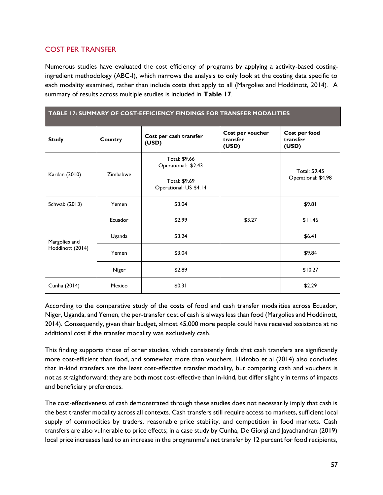### COST PER TRANSFER

Numerous studies have evaluated the cost efficiency of programs by applying a activity-based costingingredient methodology (ABC-I), which narrows the analysis to only look at the costing data specific to each modality examined, rather than include costs that apply to all (Margolies and Hoddinott, 2014). A summary of results across multiple studies is included in **Table 17**.

<span id="page-56-0"></span>

| TABLE 17: SUMMARY OF COST-EFFICIENCY FINDINGS FOR TRANSFER MODALITIES |          |                                         |                                       |                                    |  |
|-----------------------------------------------------------------------|----------|-----------------------------------------|---------------------------------------|------------------------------------|--|
| <b>Study</b>                                                          | Country  | Cost per cash transfer<br>(USD)         | Cost per voucher<br>transfer<br>(USD) | Cost per food<br>transfer<br>(USD) |  |
| Kardan (2010)                                                         |          | Total: \$9.66<br>Operational: \$2.43    |                                       | Total: \$9.45                      |  |
|                                                                       | Zimbabwe | Total: \$9.69<br>Operational: US \$4.14 |                                       | Operational: \$4.98                |  |
| Schwab (2013)                                                         | Yemen    | \$3.04                                  |                                       | \$9.81                             |  |
|                                                                       | Ecuador  | \$2.99                                  | \$3.27                                | \$11.46                            |  |
| Margolies and                                                         | Uganda   | \$3.24                                  |                                       | \$6.41                             |  |
| Hoddinott (2014)                                                      | Yemen    | \$3.04                                  |                                       | \$9.84                             |  |
|                                                                       | Niger    | \$2.89                                  |                                       | \$10.27                            |  |
| Cunha (2014)                                                          | Mexico   | \$0.31                                  |                                       | \$2.29                             |  |

According to the comparative study of the costs of food and cash transfer modalities across Ecuador, Niger, Uganda, and Yemen, the per-transfer cost of cash is always less than food (Margolies and Hoddinott, 2014). Consequently, given their budget, almost 45,000 more people could have received assistance at no additional cost if the transfer modality was exclusively cash.

This finding supports those of other studies, which consistently finds that cash transfers are significantly more cost-efficient than food, and somewhat more than vouchers. Hidrobo et al (2014) also concludes that in-kind transfers are the least cost-effective transfer modality, but comparing cash and vouchers is not as straightforward; they are both most cost-effective than in-kind, but differ slightly in terms of impacts and beneficiary preferences.

The cost-effectiveness of cash demonstrated through these studies does not necessarily imply that cash is the best transfer modality across all contexts. Cash transfers still require access to markets, sufficient local supply of commodities by traders, reasonable price stability, and competition in food markets. Cash transfers are also vulnerable to price effects; in a case study by Cunha, De Giorgi and Jayachandran (2019) local price increases lead to an increase in the programme's net transfer by 12 percent for food recipients,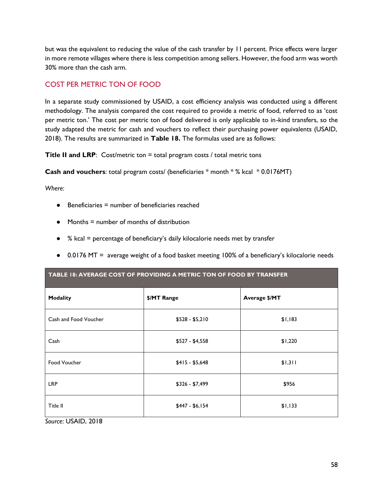but was the equivalent to reducing the value of the cash transfer by 11 percent. Price effects were larger in more remote villages where there is less competition among sellers. However, the food arm was worth 30% more than the cash arm.

## COST PER METRIC TON OF FOOD

In a separate study commissioned by USAID, a cost efficiency analysis was conducted using a different methodology. The analysis compared the cost required to provide a metric of food, referred to as 'cost per metric ton.' The cost per metric ton of food delivered is only applicable to in-kind transfers, so the study adapted the metric for cash and vouchers to reflect their purchasing power equivalents (USAID, 2018). The results are summarized in **Table 18.** The formulas used are as follows:

**Title II and LRP:** Cost/metric ton = total program costs / total metric tons

**Cash and vouchers**: total program costs/ (beneficiaries \* month \* % kcal \* 0.0176MT)

*Where:*

- $\bullet$  Beneficiaries = number of beneficiaries reached
- $\bullet$  Months = number of months of distribution
- % kcal = percentage of beneficiary's daily kilocalorie needs met by transfer

<span id="page-57-0"></span>**TABLE 18: AVERAGE COST OF PROVIDING A METRIC TON OF FOOD BY TRANSFER**

● 0.0176 MT = average weight of a food basket meeting 100% of a beneficiary's kilocalorie needs

| <b>Modality</b>       | \$/MT Range     | Average \$/MT |
|-----------------------|-----------------|---------------|
| Cash and Food Voucher | $$528 - $5,210$ | \$1,183       |
| Cash                  | $$527 - $4,558$ | \$1,220       |
| Food Voucher          | $$415 - $5,648$ | \$1,311       |
| <b>LRP</b>            | \$326 - \$7,499 | \$956         |
| Title II              | $$447 - $6,154$ | \$1,133       |
| Source: USAID, 2018   |                 |               |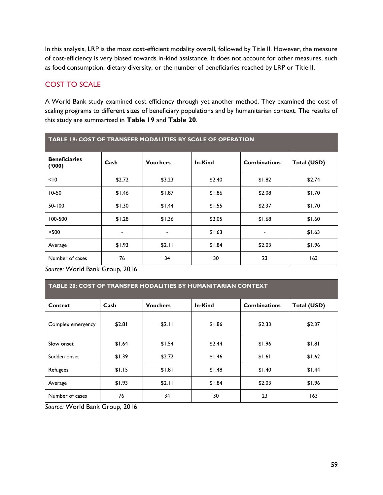In this analysis, LRP is the most cost-efficient modality overall, followed by Title II. However, the measure of cost-efficiency is very biased towards in-kind assistance. It does not account for other measures, such as food consumption, dietary diversity, or the number of beneficiaries reached by LRP or Title II.

# COST TO SCALE

A World Bank study examined cost efficiency through yet another method. They examined the cost of scaling programs to different sizes of beneficiary populations and by humanitarian context. The results of this study are summarized in **Table 19** and **Table 20**.

<span id="page-58-0"></span>

| <b>TABLE 19: COST OF TRANSFER MODALITIES BY SCALE OF OPERATION</b> |        |                 |         |                     |             |  |
|--------------------------------------------------------------------|--------|-----------------|---------|---------------------|-------------|--|
| <b>Beneficiaries</b><br>(000)                                      | Cash   | <b>Vouchers</b> | In-Kind | <b>Combinations</b> | Total (USD) |  |
| < 10                                                               | \$2.72 | \$3.23          | \$2.40  | \$1.82              | \$2.74      |  |
| $10-50$                                                            | \$1.46 | \$1.87          | \$1.86  | \$2.08              | \$1.70      |  |
| 50-100                                                             | \$1.30 | \$1.44          | \$1.55  | \$2.37              | \$1.70      |  |
| 100-500                                                            | \$1.28 | \$1.36          | \$2.05  | \$1.68              | \$1.60      |  |
| >500                                                               |        | ٠               | \$1.63  | ۰                   | \$1.63      |  |
| Average                                                            | \$1.93 | \$2.11          | \$1.84  | \$2.03              | \$1.96      |  |
| Number of cases                                                    | 76     | 34              | 30      | 23                  | 163         |  |

*Source:* World Bank Group, 2016

<span id="page-58-1"></span>

| TABLE 20: COST OF TRANSFER MODALITIES BY HUMANITARIAN CONTEXT |        |                 |         |                     |             |  |
|---------------------------------------------------------------|--------|-----------------|---------|---------------------|-------------|--|
| Context                                                       | Cash   | <b>Vouchers</b> | In-Kind | <b>Combinations</b> | Total (USD) |  |
| Complex emergency                                             | \$2.81 | \$2.11          | \$1.86  | \$2.33              | \$2.37      |  |
| Slow onset                                                    | \$1.64 | \$1.54          | \$2.44  | \$1.96              | \$1.81      |  |
| Sudden onset                                                  | \$1.39 | \$2.72          | \$1.46  | \$1.61              | \$1.62      |  |
| Refugees                                                      | \$1.15 | \$1.81          | \$1.48  | \$1.40              | \$1.44      |  |
| Average                                                       | \$1.93 | \$2.11          | \$1.84  | \$2.03              | \$1.96      |  |
| Number of cases                                               | 76     | 34              | 30      | 23                  | 163         |  |

*Source:* World Bank Group, 2016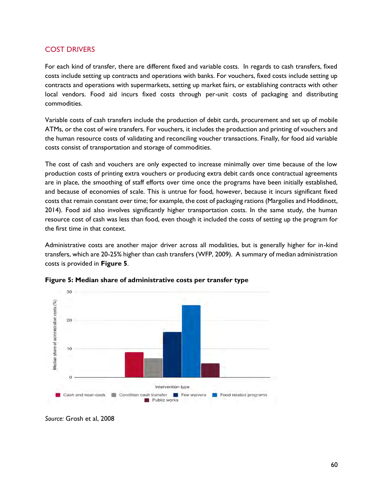#### COST DRIVERS

For each kind of transfer, there are different fixed and variable costs. In regards to cash transfers, fixed costs include setting up contracts and operations with banks. For vouchers, fixed costs include setting up contracts and operations with supermarkets, setting up market fairs, or establishing contracts with other local vendors. Food aid incurs fixed costs through per-unit costs of packaging and distributing commodities.

Variable costs of cash transfers include the production of debit cards, procurement and set up of mobile ATMs, or the cost of wire transfers. For vouchers, it includes the production and printing of vouchers and the human resource costs of validating and reconciling voucher transactions. Finally, for food aid variable costs consist of transportation and storage of commodities.

The cost of cash and vouchers are only expected to increase minimally over time because of the low production costs of printing extra vouchers or producing extra debit cards once contractual agreements are in place, the smoothing of staff efforts over time once the programs have been initially established, and because of economies of scale. This is untrue for food, however, because it incurs significant fixed costs that remain constant over time; for example, the cost of packaging rations (Margolies and Hoddinott, 2014). Food aid also involves significantly higher transportation costs. In the same study, the human resource cost of cash was less than food, even though it included the costs of setting up the program for the first time in that context.

Administrative costs are another major driver across all modalities, but is generally higher for in-kind transfers, which are 20-25% higher than cash transfers (WFP, 2009). A summary of median administration costs is provided in **Figure 5**.



<span id="page-59-0"></span>**Figure 5: Median share of administrative costs per transfer type**

*Source:* Grosh et al, 2008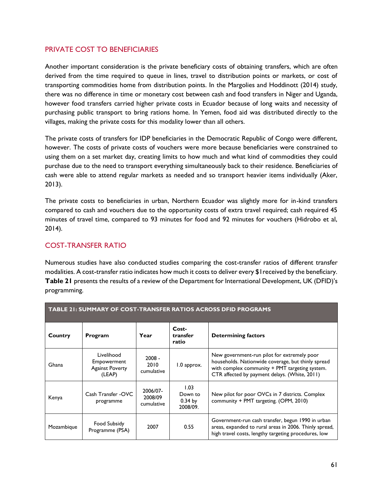#### PRIVATE COST TO BENEFICIARIES

Another important consideration is the private beneficiary costs of obtaining transfers, which are often derived from the time required to queue in lines, travel to distribution points or markets, or cost of transporting commodities home from distribution points. In the Margolies and Hoddinott (2014) study, there was no difference in time or monetary cost between cash and food transfers in Niger and Uganda, however food transfers carried higher private costs in Ecuador because of long waits and necessity of purchasing public transport to bring rations home. In Yemen, food aid was distributed directly to the villages, making the private costs for this modality lower than all others.

The private costs of transfers for IDP beneficiaries in the Democratic Republic of Congo were different, however. The costs of private costs of vouchers were more because beneficiaries were constrained to using them on a set market day, creating limits to how much and what kind of commodities they could purchase due to the need to transport everything simultaneously back to their residence. Beneficiaries of cash were able to attend regular markets as needed and so transport heavier items individually (Aker, 2013).

The private costs to beneficiaries in urban, Northern Ecuador was slightly more for in-kind transfers compared to cash and vouchers due to the opportunity costs of extra travel required; cash required 45 minutes of travel time, compared to 93 minutes for food and 92 minutes for vouchers (Hidrobo et al, 2014).

### COST-TRANSFER RATIO

Numerous studies have also conducted studies comparing the cost-transfer ratios of different transfer modalities. A cost-transfer ratio indicates how much it costs to deliver every \$1received by the beneficiary. **Table 21** presents the results of a review of the Department for International Development, UK (DFID)'s programming.

<span id="page-60-0"></span>

| <b>TABLE 21: SUMMARY OF COST-TRANSFER RATIOS ACROSS DFID PROGRAMS</b> |                                                               |                                   |                                          |                                                                                                                                                                                                      |  |
|-----------------------------------------------------------------------|---------------------------------------------------------------|-----------------------------------|------------------------------------------|------------------------------------------------------------------------------------------------------------------------------------------------------------------------------------------------------|--|
| Country                                                               | Program                                                       | Year                              | Cost-<br>transfer<br>ratio               | <b>Determining factors</b>                                                                                                                                                                           |  |
| Ghana                                                                 | Livelihood<br>Empowerment<br><b>Against Poverty</b><br>(LEAP) | $2008 -$<br>2010<br>cumulative    | 1.0 approx.                              | New government-run pilot for extremely poor<br>households. Nationwide coverage, but thinly spread<br>with complex community + PMT targeting system.<br>CTR affected by payment delays. (White, 2011) |  |
| Kenya                                                                 | Cash Transfer - OVC<br>programme                              | 2006/07-<br>2008/09<br>cumulative | 1.03<br>Down to<br>$0.34$ by<br>2008/09. | New pilot for poor OVCs in 7 districts. Complex<br>community + PMT targeting. (OPM, 2010)                                                                                                            |  |
| Mozambique                                                            | Food Subsidy<br>Programme (PSA)                               | 2007                              | 0.55                                     | Government-run cash transfer, begun 1990 in urban<br>areas, expanded to rural areas in 2006. Thinly spread,<br>high travel costs, lengthy targeting procedures, low                                  |  |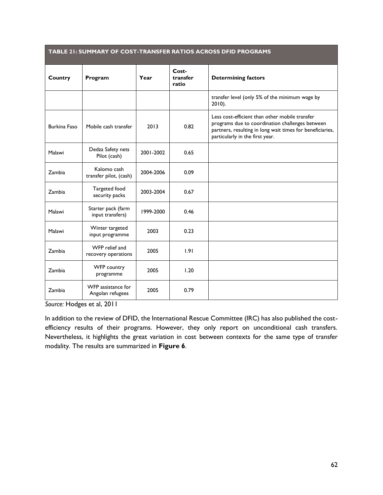| TABLE 21: SUMMARY OF COST-TRANSFER RATIOS ACROSS DFID PROGRAMS |                                        |           |                            |                                                                                                                                                                                                   |  |
|----------------------------------------------------------------|----------------------------------------|-----------|----------------------------|---------------------------------------------------------------------------------------------------------------------------------------------------------------------------------------------------|--|
| Country                                                        | Program                                | Year      | Cost-<br>transfer<br>ratio | <b>Determining factors</b>                                                                                                                                                                        |  |
|                                                                |                                        |           |                            | transfer level (only 5% of the minimum wage by<br>$2010$ ).                                                                                                                                       |  |
| <b>Burkina Faso</b>                                            | Mobile cash transfer                   | 2013      | 0.82                       | Less cost-efficient than other mobile transfer<br>programs due to coordination challenges between<br>partners, resulting in long wait times for beneficiaries,<br>particularly in the first year. |  |
| Malawi                                                         | Dedza Safety nets<br>Pilot (cash)      | 2001-2002 | 0.65                       |                                                                                                                                                                                                   |  |
| Zambia                                                         | Kalomo cash<br>transfer pilot, (cash)  | 2004-2006 | 0.09                       |                                                                                                                                                                                                   |  |
| Zambia                                                         | Targeted food<br>security packs        | 2003-2004 | 0.67                       |                                                                                                                                                                                                   |  |
| Malawi                                                         | Starter pack (farm<br>input transfers) | 1999-2000 | 0.46                       |                                                                                                                                                                                                   |  |
| Malawi                                                         | Winter targeted<br>input programme     | 2003      | 0.23                       |                                                                                                                                                                                                   |  |
| Zambia                                                         | WFP relief and<br>recovery operations  | 2005      | 1.91                       |                                                                                                                                                                                                   |  |
| Zambia                                                         | WFP country<br>programme               | 2005      | 1.20                       |                                                                                                                                                                                                   |  |
| Zambia                                                         | WFP assistance for<br>Angolan refugees | 2005      | 0.79                       |                                                                                                                                                                                                   |  |

*Source:* Hodges et al, 2011

In addition to the review of DFID, the International Rescue Committee (IRC) has also published the costefficiency results of their programs. However, they only report on unconditional cash transfers. Nevertheless, it highlights the great variation in cost between contexts for the same type of transfer modality. The results are summarized in **Figure 6**.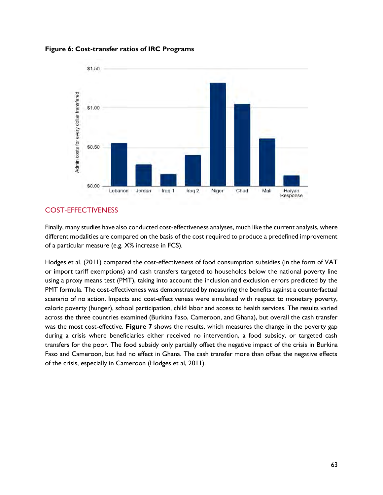<span id="page-62-0"></span>



#### COST-EFFECTIVENESS

Finally, many studies have also conducted cost-effectiveness analyses, much like the current analysis, where different modalities are compared on the basis of the cost required to produce a predefined improvement of a particular measure (e.g. X% increase in FCS).

Hodges et al. (2011) compared the cost-effectiveness of food consumption subsidies (in the form of VAT or import tariff exemptions) and cash transfers targeted to households below the national poverty line using a proxy means test (PMT), taking into account the inclusion and exclusion errors predicted by the PMT formula. The cost-effectiveness was demonstrated by measuring the benefits against a counterfactual scenario of no action. Impacts and cost-effectiveness were simulated with respect to monetary poverty, caloric poverty (hunger), school participation, child labor and access to health services. The results varied across the three countries examined (Burkina Faso, Cameroon, and Ghana), but overall the cash transfer was the most cost-effective. **Figure 7** shows the results, which measures the change in the poverty gap during a crisis where beneficiaries either received no intervention, a food subsidy, or targeted cash transfers for the poor. The food subsidy only partially offset the negative impact of the crisis in Burkina Faso and Cameroon, but had no effect in Ghana. The cash transfer more than offset the negative effects of the crisis, especially in Cameroon (Hodges et al, 2011).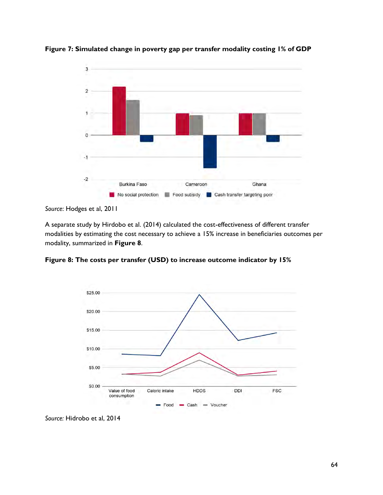

<span id="page-63-0"></span>**Figure 7: Simulated change in poverty gap per transfer modality costing 1% of GDP**

A separate study by Hirdobo et al. (2014) calculated the cost-effectiveness of different transfer modalities by estimating the cost necessary to achieve a 15% increase in beneficiaries outcomes per modality, summarized in **Figure 8**.

<span id="page-63-1"></span>**Figure 8: The costs per transfer (USD) to increase outcome indicator by 15%**



*Source:* Hidrobo et al, 2014

*Source*: Hodges et al, 2011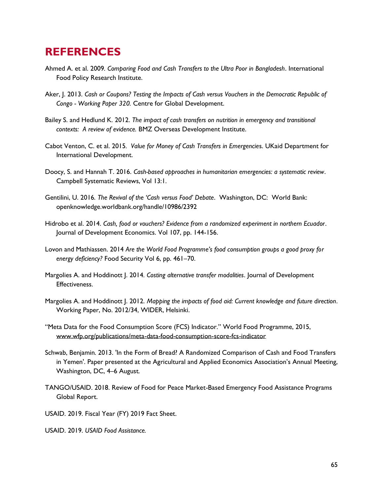# <span id="page-64-0"></span>**REFERENCES**

- Ahmed A. et al. 2009*. Comparing Food and Cash Transfers to the Ultra Poor in Bangladesh*. International Food Policy Research Institute.
- Aker, J. 2013. *Cash or Coupons? Testing the Impacts of Cash versus Vouchers in the Democratic Republic of Congo - Working Paper 320.* Centre for Global Development.
- Bailey S. and Hedlund K. 2012. *The impact of cash transfers on nutrition in emergency and transitional contexts: A review of evidence.* BMZ Overseas Development Institute.
- Cabot Venton, C. et al. 2015*. Value for Money of Cash Transfers in Emergencie*s. UKaid Department for International Development.
- Doocy, S. and Hannah T. 2016. *Cash-based approaches in humanitarian emergencies: a systematic review*. Campbell Systematic Reviews, Vol 13:1.
- Gentilini, U. 2016. *The Revival of the 'Cash versus Food' Debate*. Washington, DC: World Bank: openknowledge.worldbank.org/handle/10986/2392
- Hidrobo et al. 2014. *Cash, food or vouchers? Evidence from a randomized experiment in northern Ecuador*. Journal of Development Economics. Vol 107, pp. 144-156.
- Lovon and Mathiassen. 2014 *Are the World Food Programme's food consumption groups a good proxy for energy deficiency?* Food Security Vol 6, pp. 461–70.
- Margolies A. and Hoddinott J. 2014*. Costing alternative transfer modalities*. Journal of Development Effectiveness.
- Margolies A. and Hoddinott J. 2012. *Mapping the impacts of food aid: Current knowledge and future direction*. Working Paper, No. 2012/34, WIDER, Helsinki.
- "Meta Data for the Food Consumption Score (FCS) Indicator." World Food Programme, 2015, [www.wfp.org/publications/meta-data-food-consumption-score-fcs-indicator](http://www.wfp.org/publications/meta-data-food-consumption-score-fcs-indicator)
- Schwab, Benjamin. 2013. 'In the Form of Bread? A Randomized Comparison of Cash and Food Transfers in Yemen'. Paper presented at the Agricultural and Applied Economics Association's Annual Meeting, Washington, DC, 4–6 August.
- TANGO/USAID. 2018. Review of Food for Peace Market-Based Emergency Food Assistance Programs Global Report.
- USAID. 2019. Fiscal Year (FY) 2019 Fact Sheet.
- USAID. 2019. *USAID Food Assistance.*